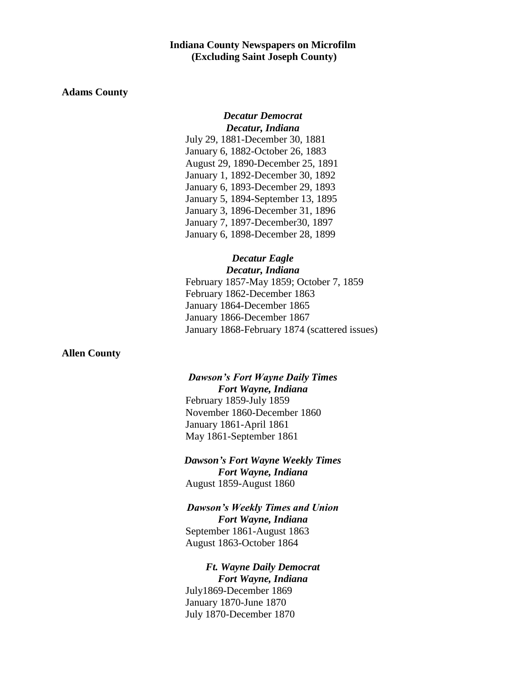## **Indiana County Newspapers on Microfilm (Excluding Saint Joseph County)**

## **Adams County**

## *Decatur Democrat Decatur, Indiana*

July 29, 1881-December 30, 1881 January 6, 1882-October 26, 1883 August 29, 1890-December 25, 1891 January 1, 1892-December 30, 1892 January 6, 1893-December 29, 1893 January 5, 1894-September 13, 1895 January 3, 1896-December 31, 1896 January 7, 1897-December30, 1897 January 6, 1898-December 28, 1899

### *Decatur Eagle Decatur, Indiana*

February 1857-May 1859; October 7, 1859 February 1862-December 1863 January 1864-December 1865 January 1866-December 1867 January 1868-February 1874 (scattered issues)

### **Allen County**

## *Dawson's Fort Wayne Daily Times Fort Wayne, Indiana*

February 1859-July 1859 November 1860-December 1860 January 1861-April 1861 May 1861-September 1861

## *Dawson's Fort Wayne Weekly Times Fort Wayne, Indiana* August 1859-August 1860

## *Dawson's Weekly Times and Union*

*Fort Wayne, Indiana* September 1861-August 1863 August 1863-October 1864

# *Ft. Wayne Daily Democrat Fort Wayne, Indiana* July1869-December 1869

January 1870-June 1870 July 1870-December 1870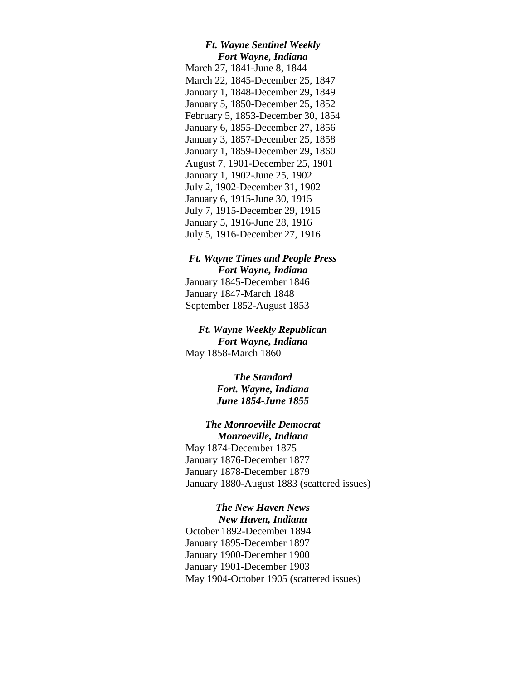### *Ft. Wayne Sentinel Weekly Fort Wayne, Indiana*

March 27, 1841-June 8, 1844 March 22, 1845-December 25, 1847 January 1, 1848-December 29, 1849 January 5, 1850-December 25, 1852 February 5, 1853-December 30, 1854 January 6, 1855-December 27, 1856 January 3, 1857-December 25, 1858 January 1, 1859-December 29, 1860 August 7, 1901-December 25, 1901 January 1, 1902-June 25, 1902 July 2, 1902-December 31, 1902 January 6, 1915-June 30, 1915 July 7, 1915-December 29, 1915 January 5, 1916-June 28, 1916 July 5, 1916-December 27, 1916

## *Ft. Wayne Times and People Press Fort Wayne, Indiana*

January 1845-December 1846 January 1847-March 1848 September 1852-August 1853

## *Ft. Wayne Weekly Republican Fort Wayne, Indiana* May 1858-March 1860

*The Standard Fort. Wayne, Indiana June 1854-June 1855*

### *The Monroeville Democrat Monroeville, Indiana*

May 1874-December 1875 January 1876-December 1877 January 1878-December 1879 January 1880-August 1883 (scattered issues)

# *The New Haven News*

*New Haven, Indiana* October 1892-December 1894 January 1895-December 1897 January 1900-December 1900 January 1901-December 1903 May 1904-October 1905 (scattered issues)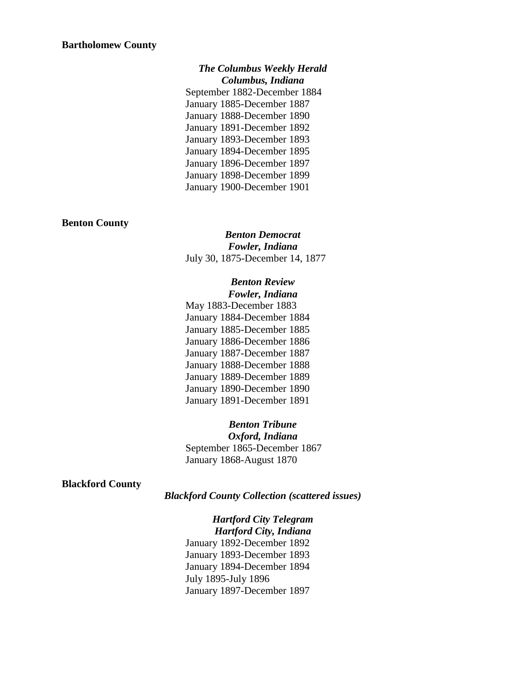*The Columbus Weekly Herald Columbus, Indiana* September 1882-December 1884 January 1885-December 1887 January 1888-December 1890 January 1891-December 1892 January 1893-December 1893 January 1894-December 1895 January 1896-December 1897 January 1898-December 1899 January 1900-December 1901

### **Benton County**

*Benton Democrat Fowler, Indiana* July 30, 1875-December 14, 1877

### *Benton Review Fowler, Indiana*

May 1883-December 1883 January 1884-December 1884 January 1885-December 1885 January 1886-December 1886 January 1887-December 1887 January 1888-December 1888 January 1889-December 1889 January 1890-December 1890 January 1891-December 1891

## *Benton Tribune*

*Oxford, Indiana* September 1865-December 1867 January 1868-August 1870

**Blackford County**

*Blackford County Collection (scattered issues)*

# *Hartford City Telegram*

*Hartford City, Indiana* January 1892-December 1892 January 1893-December 1893 January 1894-December 1894 July 1895-July 1896 January 1897-December 1897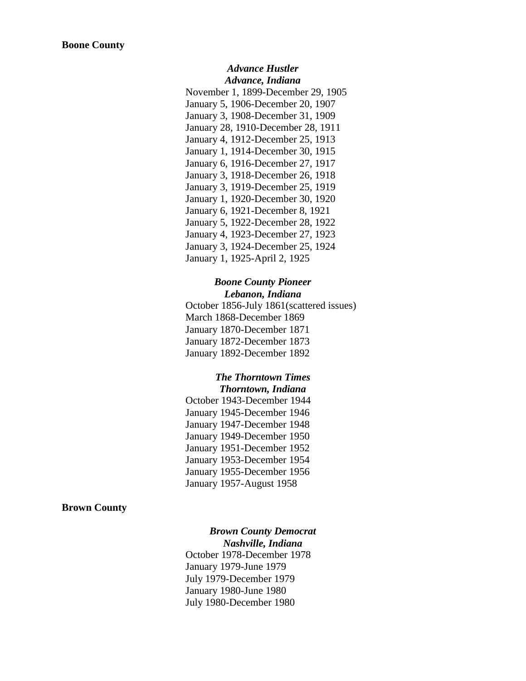### *Advance Hustler Advance, Indiana*

November 1, 1899-December 29, 1905 January 5, 1906-December 20, 1907 January 3, 1908-December 31, 1909 January 28, 1910-December 28, 1911 January 4, 1912-December 25, 1913 January 1, 1914-December 30, 1915 January 6, 1916-December 27, 1917 January 3, 1918-December 26, 1918 January 3, 1919-December 25, 1919 January 1, 1920-December 30, 1920 January 6, 1921-December 8, 1921 January 5, 1922-December 28, 1922 January 4, 1923-December 27, 1923 January 3, 1924-December 25, 1924 January 1, 1925-April 2, 1925

## *Boone County Pioneer Lebanon, Indiana*

October 1856-July 1861(scattered issues) March 1868-December 1869 January 1870-December 1871 January 1872-December 1873 January 1892-December 1892

## *The Thorntown Times Thorntown, Indiana*

October 1943-December 1944 January 1945-December 1946 January 1947-December 1948 January 1949-December 1950 January 1951-December 1952 January 1953-December 1954 January 1955-December 1956 January 1957-August 1958

## **Brown County**

# *Brown County Democrat*

*Nashville, Indiana* October 1978-December 1978 January 1979-June 1979 July 1979-December 1979 January 1980-June 1980 July 1980-December 1980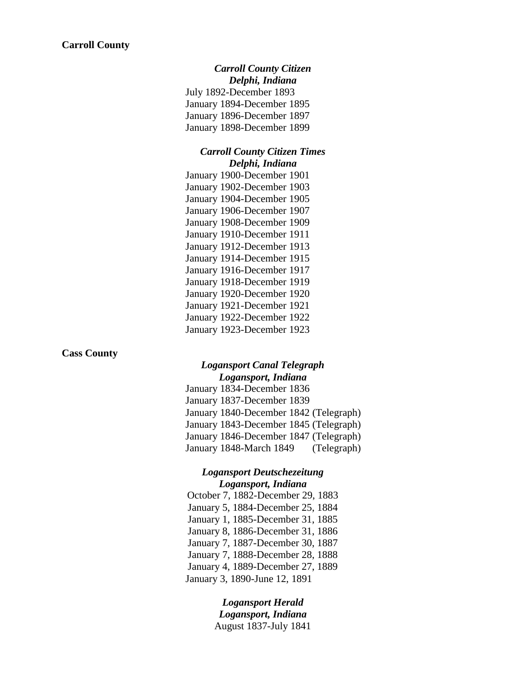*Carroll County Citizen Delphi, Indiana* July 1892-December 1893 January 1894-December 1895 January 1896-December 1897 January 1898-December 1899

### *Carroll County Citizen Times Delphi, Indiana*

January 1900-December 1901 January 1902-December 1903 January 1904-December 1905 January 1906-December 1907 January 1908-December 1909 January 1910-December 1911 January 1912-December 1913 January 1914-December 1915 January 1916-December 1917 January 1918-December 1919 January 1920-December 1920 January 1921-December 1921 January 1922-December 1922 January 1923-December 1923

### **Cass County**

## *Logansport Canal Telegraph Logansport, Indiana*

January 1834-December 1836 January 1837-December 1839 January 1840-December 1842 (Telegraph) January 1843-December 1845 (Telegraph) January 1846-December 1847 (Telegraph) January 1848-March 1849 (Telegraph)

## *Logansport Deutschezeitung Logansport, Indiana*

October 7, 1882-December 29, 1883 January 5, 1884-December 25, 1884 January 1, 1885-December 31, 1885 January 8, 1886-December 31, 1886 January 7, 1887-December 30, 1887 January 7, 1888-December 28, 1888 January 4, 1889-December 27, 1889 January 3, 1890-June 12, 1891

> *Logansport Herald Logansport, Indiana* August 1837-July 1841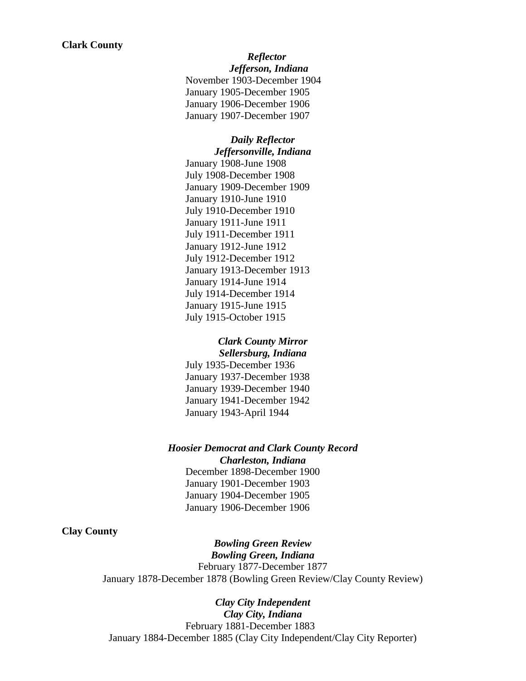*Reflector*

*Jefferson, Indiana* November 1903-December 1904 January 1905-December 1905 January 1906-December 1906 January 1907-December 1907

*Daily Reflector Jeffersonville, Indiana* January 1908-June 1908 July 1908-December 1908 January 1909-December 1909 January 1910-June 1910 July 1910-December 1910 January 1911-June 1911 July 1911-December 1911 January 1912-June 1912 July 1912-December 1912 January 1913-December 1913 January 1914-June 1914 July 1914-December 1914 January 1915-June 1915 July 1915-October 1915

### *Clark County Mirror Sellersburg, Indiana*

July 1935-December 1936 January 1937-December 1938 January 1939-December 1940 January 1941-December 1942 January 1943-April 1944

*Hoosier Democrat and Clark County Record Charleston, Indiana* December 1898-December 1900

January 1901-December 1903 January 1904-December 1905 January 1906-December 1906

## **Clay County**

*Bowling Green Review Bowling Green, Indiana* February 1877-December 1877 January 1878-December 1878 (Bowling Green Review/Clay County Review)

*Clay City Independent Clay City, Indiana* February 1881-December 1883 January 1884-December 1885 (Clay City Independent/Clay City Reporter)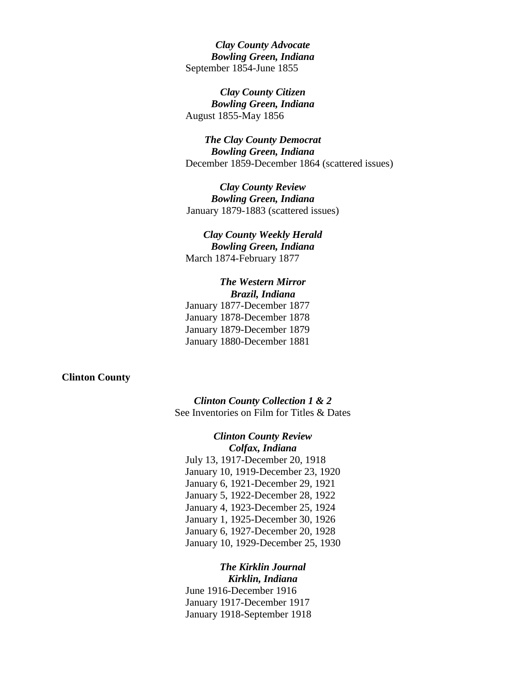*Clay County Advocate Bowling Green, Indiana* September 1854-June 1855

*Clay County Citizen Bowling Green, Indiana* August 1855-May 1856

*The Clay County Democrat Bowling Green, Indiana* December 1859-December 1864 (scattered issues)

*Clay County Review Bowling Green, Indiana* January 1879-1883 (scattered issues)

## *Clay County Weekly Herald Bowling Green, Indiana* March 1874-February 1877

## *The Western Mirror Brazil, Indiana* January 1877-December 1877 January 1878-December 1878

January 1879-December 1879 January 1880-December 1881

### **Clinton County**

*Clinton County Collection 1 & 2* See Inventories on Film for Titles & Dates

*Clinton County Review Colfax, Indiana* July 13, 1917-December 20, 1918 January 10, 1919-December 23, 1920 January 6, 1921-December 29, 1921 January 5, 1922-December 28, 1922 January 4, 1923-December 25, 1924 January 1, 1925-December 30, 1926 January 6, 1927-December 20, 1928 January 10, 1929-December 25, 1930

*The Kirklin Journal Kirklin, Indiana* June 1916-December 1916 January 1917-December 1917 January 1918-September 1918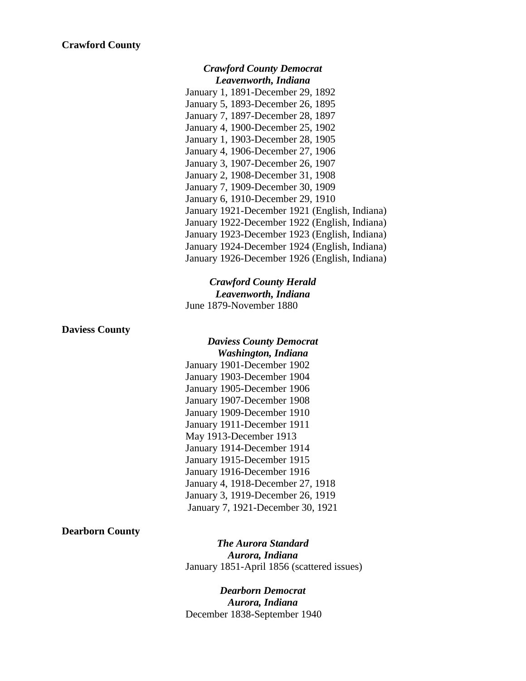### *Crawford County Democrat Leavenworth, Indiana*

January 1, 1891-December 29, 1892 January 5, 1893-December 26, 1895 January 7, 1897-December 28, 1897 January 4, 1900-December 25, 1902 January 1, 1903-December 28, 1905 January 4, 1906-December 27, 1906 January 3, 1907-December 26, 1907 January 2, 1908-December 31, 1908 January 7, 1909-December 30, 1909 January 6, 1910-December 29, 1910 January 1921-December 1921 (English, Indiana) January 1922-December 1922 (English, Indiana) January 1923-December 1923 (English, Indiana) January 1924-December 1924 (English, Indiana) January 1926-December 1926 (English, Indiana)

## *Crawford County Herald Leavenworth, Indiana* June 1879-November 1880

### **Daviess County**

# *Daviess County Democrat Washington, Indiana*

January 1901-December 1902 January 1903-December 1904 January 1905-December 1906 January 1907-December 1908 January 1909-December 1910 January 1911-December 1911 May 1913-December 1913 January 1914-December 1914 January 1915-December 1915 January 1916-December 1916 January 4, 1918-December 27, 1918 January 3, 1919-December 26, 1919 January 7, 1921-December 30, 1921

## **Dearborn County**

*The Aurora Standard Aurora, Indiana* January 1851-April 1856 (scattered issues)

## *Dearborn Democrat Aurora, Indiana* December 1838-September 1940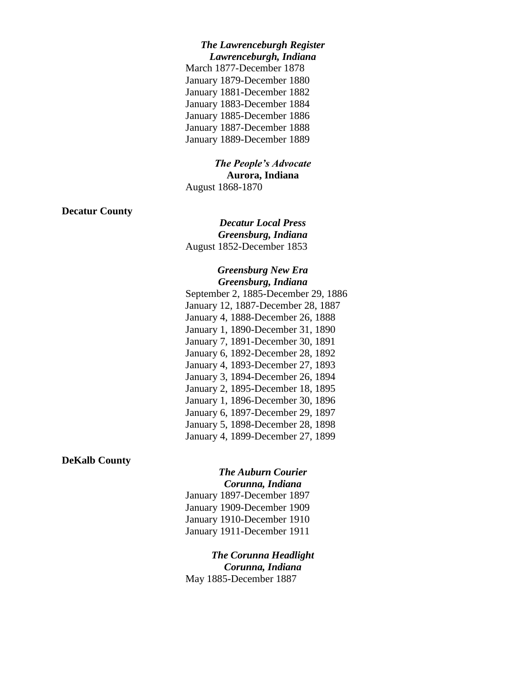### *The Lawrenceburgh Register Lawrenceburgh, Indiana*

March 1877-December 1878 January 1879-December 1880 January 1881-December 1882 January 1883-December 1884 January 1885-December 1886 January 1887-December 1888 January 1889-December 1889

## *The People's Advocate* **Aurora, Indiana**

August 1868-1870

## **Decatur County**

*Decatur Local Press Greensburg, Indiana* August 1852-December 1853

## *Greensburg New Era Greensburg, Indiana*

September 2, 1885-December 29, 1886 January 12, 1887-December 28, 1887 January 4, 1888-December 26, 1888 January 1, 1890-December 31, 1890 January 7, 1891-December 30, 1891 January 6, 1892-December 28, 1892 January 4, 1893-December 27, 1893 January 3, 1894-December 26, 1894 January 2, 1895-December 18, 1895 January 1, 1896-December 30, 1896 January 6, 1897-December 29, 1897 January 5, 1898-December 28, 1898 January 4, 1899-December 27, 1899

## **DeKalb County**

# *The Auburn Courier Corunna, Indiana*

January 1897-December 1897 January 1909-December 1909 January 1910-December 1910 January 1911-December 1911

*The Corunna Headlight Corunna, Indiana* May 1885-December 1887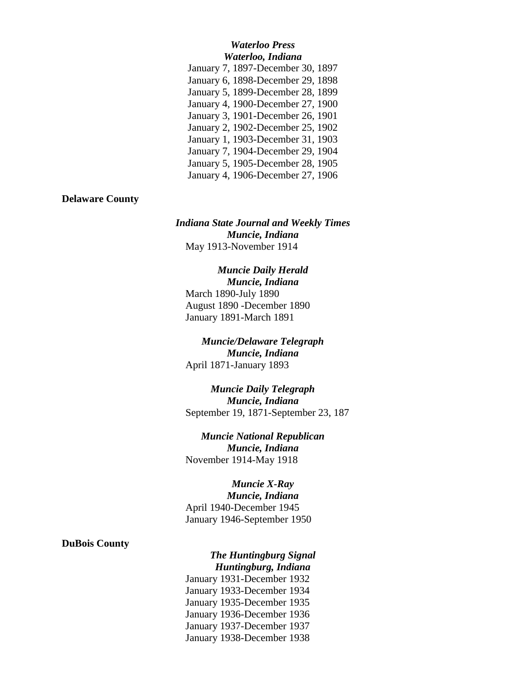### *Waterloo Press Waterloo, Indiana*

| January 7, 1897-December 30, 1897 |
|-----------------------------------|
| January 6, 1898-December 29, 1898 |
| January 5, 1899-December 28, 1899 |
| January 4, 1900-December 27, 1900 |
| January 3, 1901-December 26, 1901 |
| January 2, 1902-December 25, 1902 |
| January 1, 1903-December 31, 1903 |
| January 7, 1904-December 29, 1904 |
| January 5, 1905-December 28, 1905 |
| January 4, 1906-December 27, 1906 |
|                                   |

## **Delaware County**

*Indiana State Journal and Weekly Times Muncie, Indiana* May 1913-November 1914

## *Muncie Daily Herald Muncie, Indiana* March 1890-July 1890 August 1890 -December 1890 January 1891-March 1891

## *Muncie/Delaware Telegraph Muncie, Indiana* April 1871-January 1893

*Muncie Daily Telegraph Muncie, Indiana* September 19, 1871-September 23, 187

*Muncie National Republican Muncie, Indiana* November 1914-May 1918

# *Muncie X-Ray*

*Muncie, Indiana* April 1940-December 1945 January 1946-September 1950

## **DuBois County**

# *The Huntingburg Signal Huntingburg, Indiana*

January 1931-December 1932 January 1933-December 1934 January 1935-December 1935 January 1936-December 1936 January 1937-December 1937 January 1938-December 1938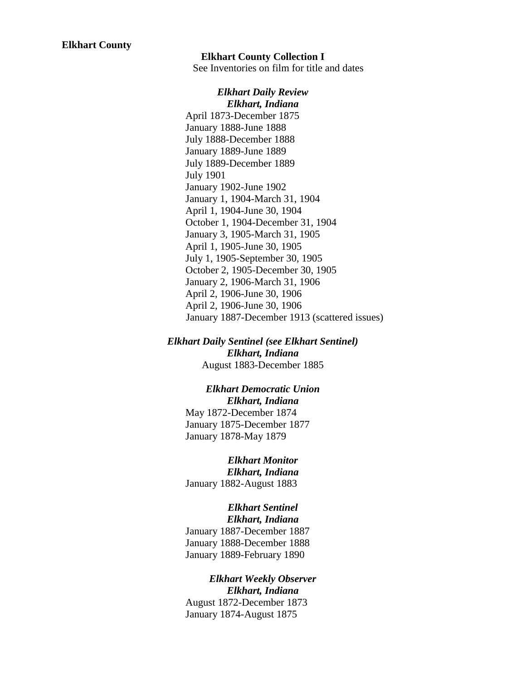### **Elkhart County Collection I**

See Inventories on film for title and dates

*Elkhart Daily Review Elkhart, Indiana* April 1873-December 1875 January 1888-June 1888 July 1888-December 1888 January 1889-June 1889 July 1889-December 1889 July 1901 January 1902-June 1902 January 1, 1904-March 31, 1904 April 1, 1904-June 30, 1904 October 1, 1904-December 31, 1904 January 3, 1905-March 31, 1905 April 1, 1905-June 30, 1905 July 1, 1905-September 30, 1905 October 2, 1905-December 30, 1905 January 2, 1906-March 31, 1906 April 2, 1906-June 30, 1906 April 2, 1906-June 30, 1906 January 1887-December 1913 (scattered issues)

*Elkhart Daily Sentinel (see Elkhart Sentinel) Elkhart, Indiana* August 1883-December 1885

## *Elkhart Democratic Union Elkhart, Indiana*

May 1872-December 1874 January 1875-December 1877 January 1878-May 1879

*Elkhart Monitor Elkhart, Indiana* January 1882-August 1883

# *Elkhart Sentinel*

*Elkhart, Indiana* January 1887-December 1887 January 1888-December 1888 January 1889-February 1890

# *Elkhart Weekly Observer Elkhart, Indiana*

August 1872-December 1873 January 1874-August 1875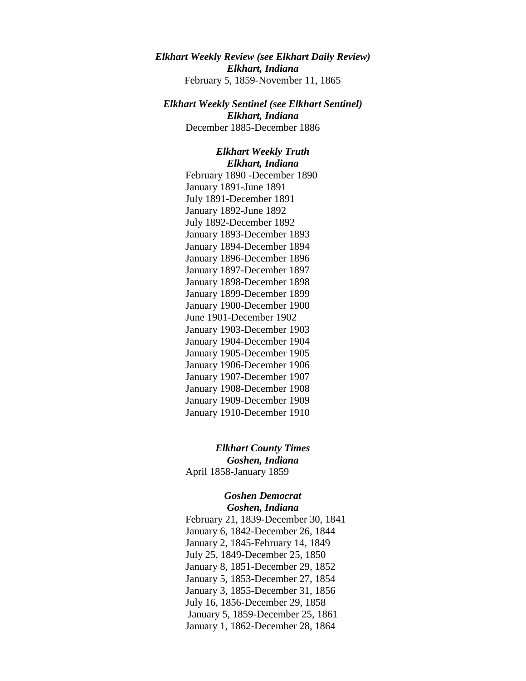*Elkhart Weekly Review (see Elkhart Daily Review) Elkhart, Indiana* February 5, 1859-November 11, 1865

*Elkhart Weekly Sentinel (see Elkhart Sentinel) Elkhart, Indiana* December 1885-December 1886

> *Elkhart Weekly Truth Elkhart, Indiana* February 1890 -December 1890 January 1891-June 1891 July 1891-December 1891 January 1892-June 1892 July 1892-December 1892 January 1893-December 1893 January 1894-December 1894 January 1896-December 1896 January 1897-December 1897 January 1898-December 1898 January 1899-December 1899 January 1900-December 1900 June 1901-December 1902 January 1903-December 1903 January 1904-December 1904 January 1905-December 1905 January 1906-December 1906 January 1907-December 1907 January 1908-December 1908 January 1909-December 1909 January 1910-December 1910

*Elkhart County Times Goshen, Indiana* April 1858-January 1859

> *Goshen Democrat Goshen, Indiana*

February 21, 1839-December 30, 1841 January 6, 1842-December 26, 1844 January 2, 1845-February 14, 1849 July 25, 1849-December 25, 1850 January 8, 1851-December 29, 1852 January 5, 1853-December 27, 1854 January 3, 1855-December 31, 1856 July 16, 1856-December 29, 1858 January 5, 1859-December 25, 1861 January 1, 1862-December 28, 1864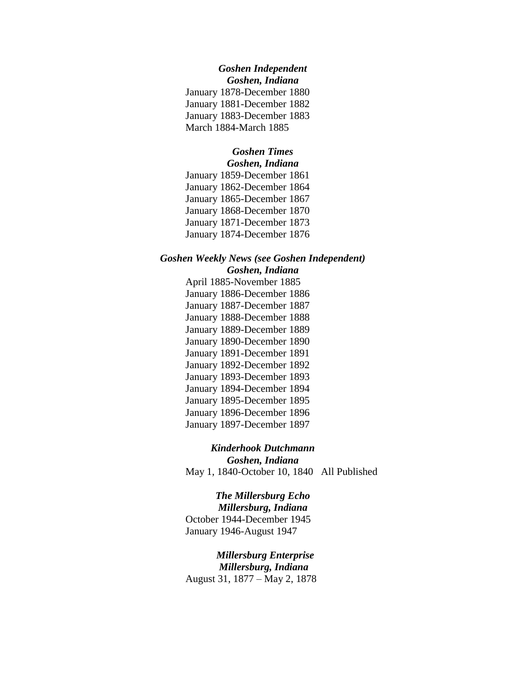# *Goshen Independent*

*Goshen, Indiana* January 1878-December 1880 January 1881-December 1882 January 1883-December 1883 March 1884-March 1885

# *Goshen Times*

*Goshen, Indiana* January 1859-December 1861 January 1862-December 1864 January 1865-December 1867 January 1868-December 1870 January 1871-December 1873

January 1874-December 1876

## *Goshen Weekly News (see Goshen Independent) Goshen, Indiana*

April 1885-November 1885 January 1886-December 1886 January 1887-December 1887 January 1888-December 1888 January 1889-December 1889 January 1890-December 1890 January 1891-December 1891 January 1892-December 1892 January 1893-December 1893 January 1894-December 1894 January 1895-December 1895 January 1896-December 1896 January 1897-December 1897

*Kinderhook Dutchmann Goshen, Indiana* May 1, 1840-October 10, 1840 All Published

*The Millersburg Echo Millersburg, Indiana* October 1944-December 1945 January 1946-August 1947

*Millersburg Enterprise Millersburg, Indiana* August 31, 1877 – May 2, 1878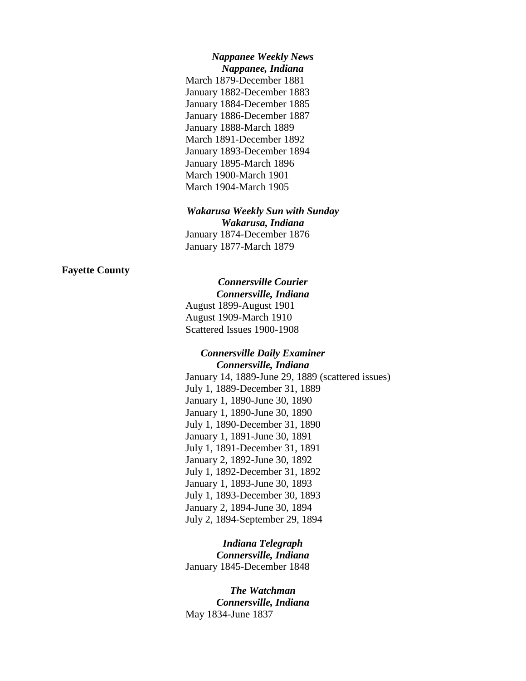### *Nappanee Weekly News Nappanee, Indiana*

March 1879-December 1881 January 1882-December 1883 January 1884-December 1885 January 1886-December 1887 January 1888-March 1889 March 1891-December 1892 January 1893-December 1894 January 1895-March 1896 March 1900-March 1901 March 1904-March 1905

#### *Wakarusa Weekly Sun with Sunday*

*Wakarusa, Indiana* January 1874-December 1876 January 1877-March 1879

## **Fayette County**

## *Connersville Courier*

*Connersville, Indiana* August 1899-August 1901 August 1909-March 1910 Scattered Issues 1900-1908

### *Connersville Daily Examiner Connersville, Indiana*

January 14, 1889-June 29, 1889 (scattered issues) July 1, 1889-December 31, 1889 January 1, 1890-June 30, 1890 January 1, 1890-June 30, 1890 July 1, 1890-December 31, 1890 January 1, 1891-June 30, 1891 July 1, 1891-December 31, 1891 January 2, 1892-June 30, 1892 July 1, 1892-December 31, 1892 January 1, 1893-June 30, 1893 July 1, 1893-December 30, 1893 January 2, 1894-June 30, 1894 July 2, 1894-September 29, 1894

*Indiana Telegraph Connersville, Indiana* January 1845-December 1848

*The Watchman Connersville, Indiana* May 1834-June 1837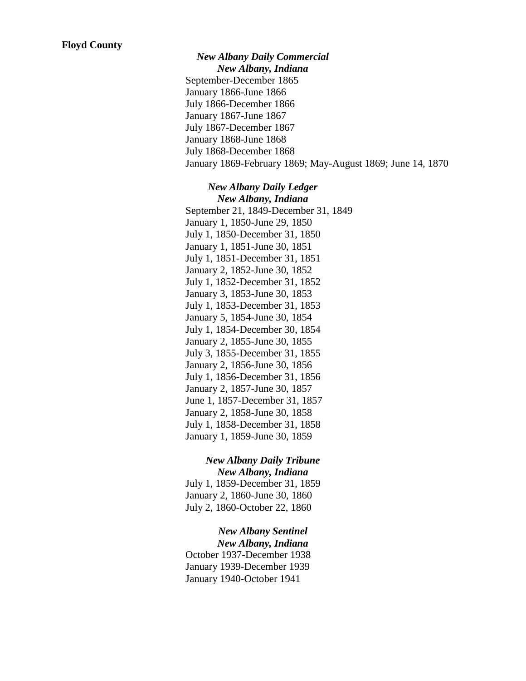*New Albany Daily Commercial New Albany, Indiana* September-December 1865 January 1866-June 1866 July 1866-December 1866 January 1867-June 1867 July 1867-December 1867 January 1868-June 1868 July 1868-December 1868 January 1869-February 1869; May-August 1869; June 14, 1870

### *New Albany Daily Ledger New Albany, Indiana*

September 21, 1849-December 31, 1849 January 1, 1850-June 29, 1850 July 1, 1850-December 31, 1850 January 1, 1851-June 30, 1851 July 1, 1851-December 31, 1851 January 2, 1852-June 30, 1852 July 1, 1852-December 31, 1852 January 3, 1853-June 30, 1853 July 1, 1853-December 31, 1853 January 5, 1854-June 30, 1854 July 1, 1854-December 30, 1854 January 2, 1855-June 30, 1855 July 3, 1855-December 31, 1855 January 2, 1856-June 30, 1856 July 1, 1856-December 31, 1856 January 2, 1857-June 30, 1857 June 1, 1857-December 31, 1857 January 2, 1858-June 30, 1858 July 1, 1858-December 31, 1858 January 1, 1859-June 30, 1859

## *New Albany Daily Tribune New Albany, Indiana*

July 1, 1859-December 31, 1859 January 2, 1860-June 30, 1860 July 2, 1860-October 22, 1860

## *New Albany Sentinel*

*New Albany, Indiana* October 1937-December 1938 January 1939-December 1939 January 1940-October 1941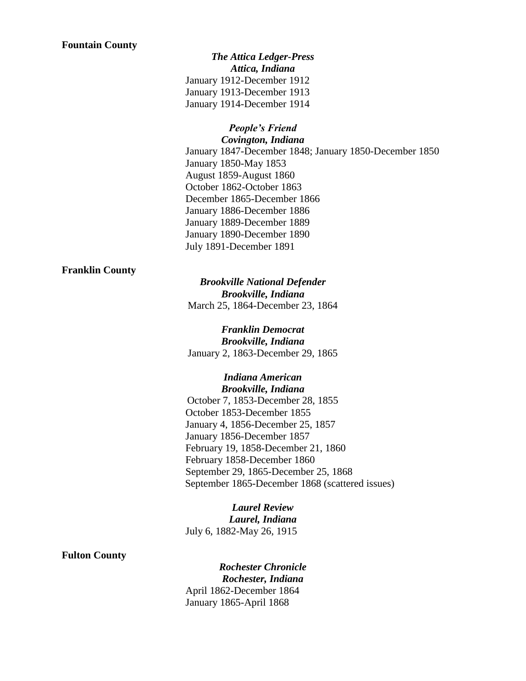### **Fountain County**

*The Attica Ledger-Press Attica, Indiana* January 1912-December 1912 January 1913-December 1913 January 1914-December 1914

### *People's Friend Covington, Indiana*

January 1847-December 1848; January 1850-December 1850 January 1850-May 1853 August 1859-August 1860 October 1862-October 1863 December 1865-December 1866 January 1886-December 1886 January 1889-December 1889 January 1890-December 1890 July 1891-December 1891

## **Franklin County**

*Brookville National Defender Brookville, Indiana* March 25, 1864-December 23, 1864

*Franklin Democrat Brookville, Indiana* January 2, 1863-December 29, 1865

*Indiana American Brookville, Indiana* October 7, 1853-December 28, 1855 October 1853-December 1855 January 4, 1856-December 25, 1857 January 1856-December 1857 February 19, 1858-December 21, 1860 February 1858-December 1860 September 29, 1865-December 25, 1868 September 1865-December 1868 (scattered issues)

*Laurel Review Laurel, Indiana* July 6, 1882-May 26, 1915

## **Fulton County**

*Rochester Chronicle Rochester, Indiana* April 1862-December 1864 January 1865-April 1868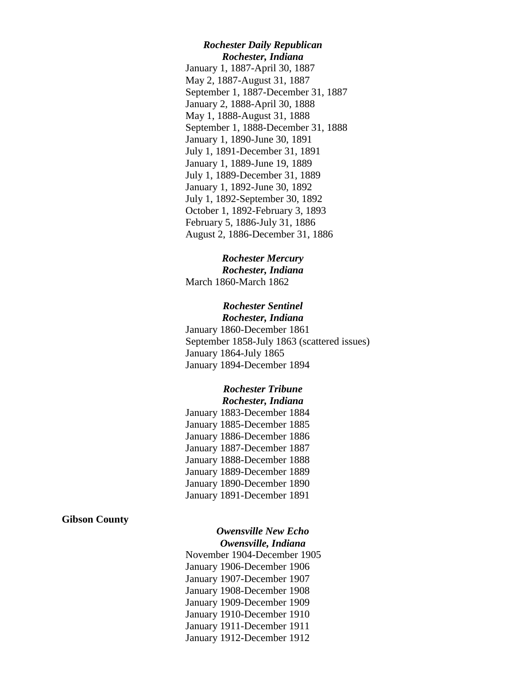### *Rochester Daily Republican Rochester, Indiana*

January 1, 1887-April 30, 1887 May 2, 1887-August 31, 1887 September 1, 1887-December 31, 1887 January 2, 1888-April 30, 1888 May 1, 1888-August 31, 1888 September 1, 1888-December 31, 1888 January 1, 1890-June 30, 1891 July 1, 1891-December 31, 1891 January 1, 1889-June 19, 1889 July 1, 1889-December 31, 1889 January 1, 1892-June 30, 1892 July 1, 1892-September 30, 1892 October 1, 1892-February 3, 1893 February 5, 1886-July 31, 1886 August 2, 1886-December 31, 1886

### *Rochester Mercury Rochester, Indiana*

March 1860-March 1862

## *Rochester Sentinel Rochester, Indiana*

January 1860-December 1861 September 1858-July 1863 (scattered issues) January 1864-July 1865 January 1894-December 1894

## *Rochester Tribune Rochester, Indiana*

January 1883-December 1884 January 1885-December 1885 January 1886-December 1886 January 1887-December 1887 January 1888-December 1888 January 1889-December 1889 January 1890-December 1890 January 1891-December 1891

### **Gibson County**

## *Owensville New Echo Owensville, Indiana*

November 1904-December 1905 January 1906-December 1906 January 1907-December 1907 January 1908-December 1908 January 1909-December 1909 January 1910-December 1910 January 1911-December 1911 January 1912-December 1912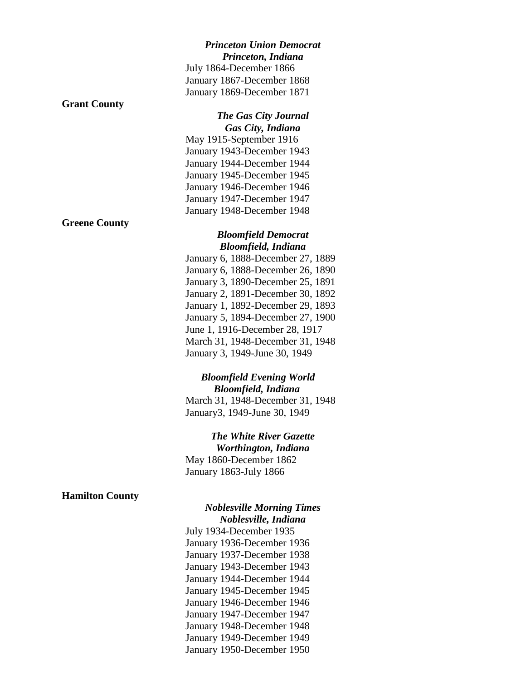### *Princeton Union Democrat Princeton, Indiana*

July 1864-December 1866 January 1867-December 1868 January 1869-December 1871

## **Grant County**

**Greene County**

*The Gas City Journal Gas City, Indiana* May 1915-September 1916 January 1943-December 1943 January 1944-December 1944 January 1945-December 1945

January 1946-December 1946 January 1947-December 1947 January 1948-December 1948

## *Bloomfield Democrat Bloomfield, Indiana*

January 6, 1888-December 27, 1889 January 6, 1888-December 26, 1890 January 3, 1890-December 25, 1891 January 2, 1891-December 30, 1892 January 1, 1892-December 29, 1893 January 5, 1894-December 27, 1900 June 1, 1916-December 28, 1917 March 31, 1948-December 31, 1948 January 3, 1949-June 30, 1949

# *Bloomfield Evening World Bloomfield, Indiana*

March 31, 1948-December 31, 1948 January3, 1949-June 30, 1949

*The White River Gazette Worthington, Indiana* May 1860-December 1862 January 1863-July 1866

## **Hamilton County**

# *Noblesville Morning Times Noblesville, Indiana*

July 1934-December 1935 January 1936-December 1936 January 1937-December 1938 January 1943-December 1943 January 1944-December 1944 January 1945-December 1945 January 1946-December 1946 January 1947-December 1947 January 1948-December 1948 January 1949-December 1949 January 1950-December 1950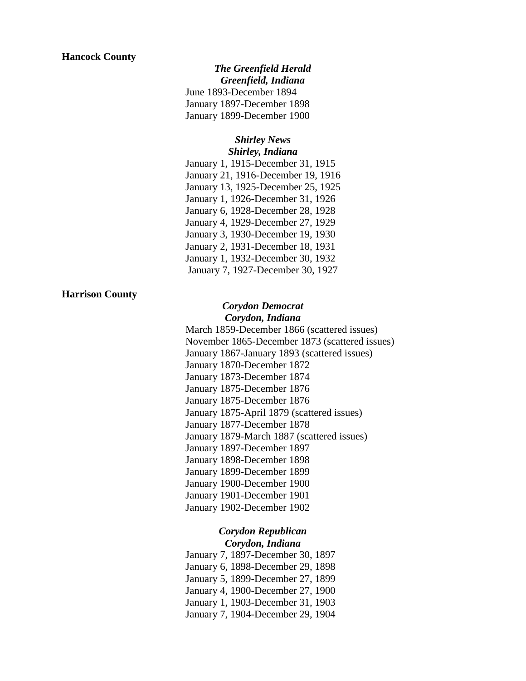## *The Greenfield Herald Greenfield, Indiana* June 1893-December 1894 January 1897-December 1898 January 1899-December 1900

### *Shirley News Shirley, Indiana*

January 1, 1915-December 31, 1915 January 21, 1916-December 19, 1916 January 13, 1925-December 25, 1925 January 1, 1926-December 31, 1926 January 6, 1928-December 28, 1928 January 4, 1929-December 27, 1929 January 3, 1930-December 19, 1930 January 2, 1931-December 18, 1931 January 1, 1932-December 30, 1932 January 7, 1927-December 30, 1927

### **Harrison County**

## *Corydon Democrat Corydon, Indiana*

March 1859-December 1866 (scattered issues) November 1865-December 1873 (scattered issues) January 1867-January 1893 (scattered issues) January 1870-December 1872 January 1873-December 1874 January 1875-December 1876 January 1875-December 1876 January 1875-April 1879 (scattered issues) January 1877-December 1878 January 1879-March 1887 (scattered issues) January 1897-December 1897 January 1898-December 1898 January 1899-December 1899 January 1900-December 1900 January 1901-December 1901 January 1902-December 1902

## *Corydon Republican Corydon, Indiana*

January 7, 1897-December 30, 1897 January 6, 1898-December 29, 1898 January 5, 1899-December 27, 1899 January 4, 1900-December 27, 1900 January 1, 1903-December 31, 1903 January 7, 1904-December 29, 1904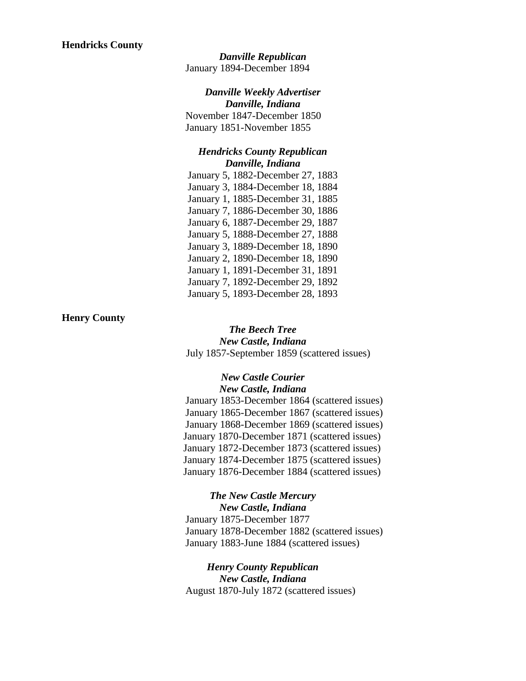*Danville Republican* January 1894-December 1894

## *Danville Weekly Advertiser*

*Danville, Indiana* November 1847-December 1850 January 1851-November 1855

## *Hendricks County Republican Danville, Indiana*

January 5, 1882-December 27, 1883 January 3, 1884-December 18, 1884 January 1, 1885-December 31, 1885 January 7, 1886-December 30, 1886 January 6, 1887-December 29, 1887 January 5, 1888-December 27, 1888 January 3, 1889-December 18, 1890 January 2, 1890-December 18, 1890 January 1, 1891-December 31, 1891 January 7, 1892-December 29, 1892 January 5, 1893-December 28, 1893

## **Henry County**

*The Beech Tree New Castle, Indiana* July 1857-September 1859 (scattered issues)

## *New Castle Courier New Castle, Indiana* January 1853-December 1864 (scattered issues) January 1865-December 1867 (scattered issues) January 1868-December 1869 (scattered issues) January 1870-December 1871 (scattered issues) January 1872-December 1873 (scattered issues) January 1874-December 1875 (scattered issues)

January 1876-December 1884 (scattered issues)

### *The New Castle Mercury New Castle, Indiana*

January 1875-December 1877 January 1878-December 1882 (scattered issues) January 1883-June 1884 (scattered issues)

*Henry County Republican New Castle, Indiana* August 1870-July 1872 (scattered issues)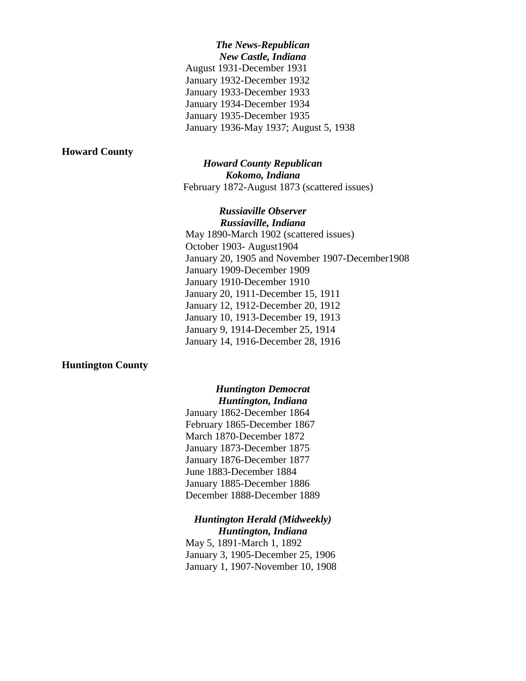*The News-Republican New Castle, Indiana* August 1931-December 1931 January 1932-December 1932 January 1933-December 1933 January 1934-December 1934 January 1935-December 1935 January 1936-May 1937; August 5, 1938

### **Howard County**

## *Howard County Republican Kokomo, Indiana* February 1872-August 1873 (scattered issues)

*Russiaville Observer Russiaville, Indiana* May 1890-March 1902 (scattered issues) October 1903- August1904 January 20, 1905 and November 1907-December1908 January 1909-December 1909 January 1910-December 1910 January 20, 1911-December 15, 1911 January 12, 1912-December 20, 1912 January 10, 1913-December 19, 1913 January 9, 1914-December 25, 1914 January 14, 1916-December 28, 1916

### **Huntington County**

## *Huntington Democrat Huntington, Indiana*

January 1862-December 1864 February 1865-December 1867 March 1870-December 1872 January 1873-December 1875 January 1876-December 1877 June 1883-December 1884 January 1885-December 1886 December 1888-December 1889

# *Huntington Herald (Midweekly) Huntington, Indiana*

May 5, 1891-March 1, 1892 January 3, 1905-December 25, 1906 January 1, 1907-November 10, 1908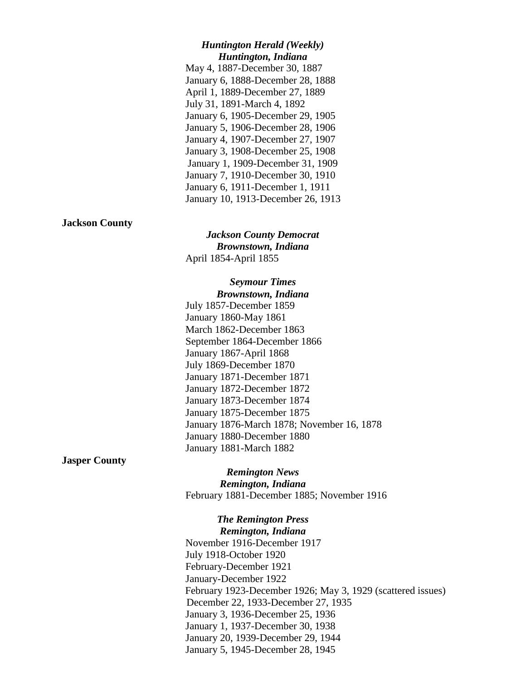### *Huntington Herald (Weekly) Huntington, Indiana*

May 4, 1887-December 30, 1887 January 6, 1888-December 28, 1888 April 1, 1889-December 27, 1889 July 31, 1891-March 4, 1892 January 6, 1905-December 29, 1905 January 5, 1906-December 28, 1906 January 4, 1907-December 27, 1907 January 3, 1908-December 25, 1908 January 1, 1909-December 31, 1909 January 7, 1910-December 30, 1910 January 6, 1911-December 1, 1911 January 10, 1913-December 26, 1913

## **Jackson County**

*Jackson County Democrat Brownstown, Indiana* April 1854-April 1855

## *Seymour Times Brownstown, Indiana*

July 1857-December 1859 January 1860-May 1861 March 1862-December 1863 September 1864-December 1866 January 1867-April 1868 July 1869-December 1870 January 1871-December 1871 January 1872-December 1872 January 1873-December 1874 January 1875-December 1875 January 1876-March 1878; November 16, 1878 January 1880-December 1880 January 1881-March 1882

**Jasper County**

*Remington News Remington, Indiana* February 1881-December 1885; November 1916

*The Remington Press Remington, Indiana* November 1916-December 1917 July 1918-October 1920 February-December 1921 January-December 1922 February 1923-December 1926; May 3, 1929 (scattered issues) December 22, 1933-December 27, 1935 January 3, 1936-December 25, 1936 January 1, 1937-December 30, 1938 January 20, 1939-December 29, 1944 January 5, 1945-December 28, 1945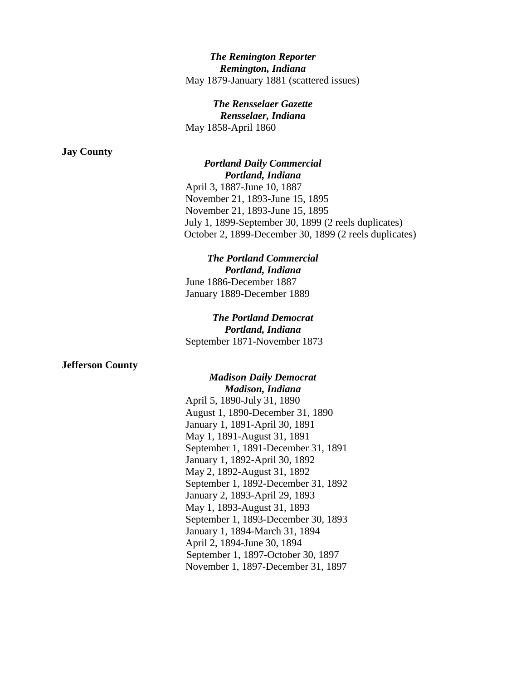## *The Remington Reporter Remington, Indiana* May 1879-January 1881 (scattered issues)

## *The Rensselaer Gazette Rensselaer, Indiana* May 1858-April 1860

### **Jay County**

# *Portland Daily Commercial Portland, Indiana*

April 3, 1887-June 10, 1887 November 21, 1893-June 15, 1895 November 21, 1893-June 15, 1895 July 1, 1899-September 30, 1899 (2 reels duplicates) October 2, 1899-December 30, 1899 (2 reels duplicates)

## *The Portland Commercial Portland, Indiana* June 1886-December 1887 January 1889-December 1889

## *The Portland Democrat Portland, Indiana* September 1871-November 1873

## **Jefferson County**

## *Madison Daily Democrat Madison, Indiana* April 5, 1890-July 31, 1890 August 1, 1890-December 31, 1890 January 1, 1891-April 30, 1891 May 1, 1891-August 31, 1891 September 1, 1891-December 31, 1891 January 1, 1892-April 30, 1892 May 2, 1892-August 31, 1892 September 1, 1892-December 31, 1892 January 2, 1893-April 29, 1893 May 1, 1893-August 31, 1893 September 1, 1893-December 30, 1893 January 1, 1894-March 31, 1894 April 2, 1894-June 30, 1894 September 1, 1897-October 30, 1897 November 1, 1897-December 31, 1897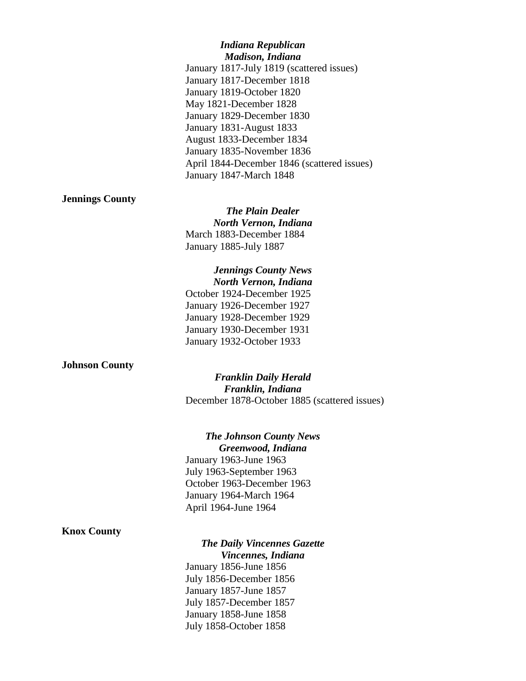## *Indiana Republican Madison, Indiana* January 1817-July 1819 (scattered issues) January 1817-December 1818 January 1819-October 1820 May 1821-December 1828 January 1829-December 1830 January 1831-August 1833 August 1833-December 1834 January 1835-November 1836 April 1844-December 1846 (scattered issues) January 1847-March 1848

## **Jennings County**

*The Plain Dealer North Vernon, Indiana* March 1883-December 1884 January 1885-July 1887

*Jennings County News North Vernon, Indiana* October 1924-December 1925 January 1926-December 1927 January 1928-December 1929 January 1930-December 1931 January 1932-October 1933

### **Johnson County**

*Franklin Daily Herald Franklin, Indiana* December 1878-October 1885 (scattered issues)

*The Johnson County News Greenwood, Indiana* January 1963-June 1963 July 1963-September 1963 October 1963-December 1963 January 1964-March 1964 April 1964-June 1964

## **Knox County**

# *The Daily Vincennes Gazette*

*Vincennes, Indiana* January 1856-June 1856 July 1856-December 1856 January 1857-June 1857 July 1857-December 1857 January 1858-June 1858 July 1858-October 1858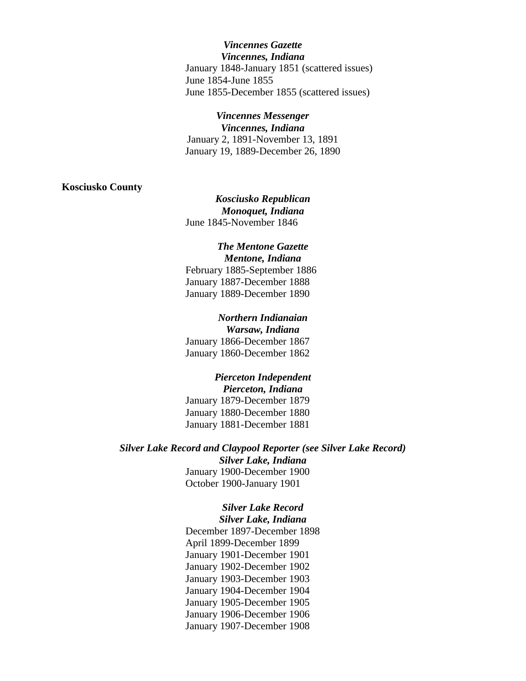*Vincennes Gazette Vincennes, Indiana* January 1848-January 1851 (scattered issues) June 1854-June 1855 June 1855-December 1855 (scattered issues)

### *Vincennes Messenger*

*Vincennes, Indiana* January 2, 1891-November 13, 1891 January 19, 1889-December 26, 1890

#### **Kosciusko County**

*Kosciusko Republican Monoquet, Indiana* June 1845-November 1846

### *The Mentone Gazette Mentone, Indiana*

February 1885-September 1886 January 1887-December 1888 January 1889-December 1890

## *Northern Indianaian*

*Warsaw, Indiana* January 1866-December 1867 January 1860-December 1862

### *Pierceton Independent Pierceton, Indiana*

January 1879-December 1879 January 1880-December 1880 January 1881-December 1881

*Silver Lake Record and Claypool Reporter (see Silver Lake Record) Silver Lake, Indiana* January 1900-December 1900 October 1900-January 1901

# *Silver Lake Record*

*Silver Lake, Indiana* December 1897-December 1898 April 1899-December 1899 January 1901-December 1901 January 1902-December 1902 January 1903-December 1903 January 1904-December 1904 January 1905-December 1905 January 1906-December 1906 January 1907-December 1908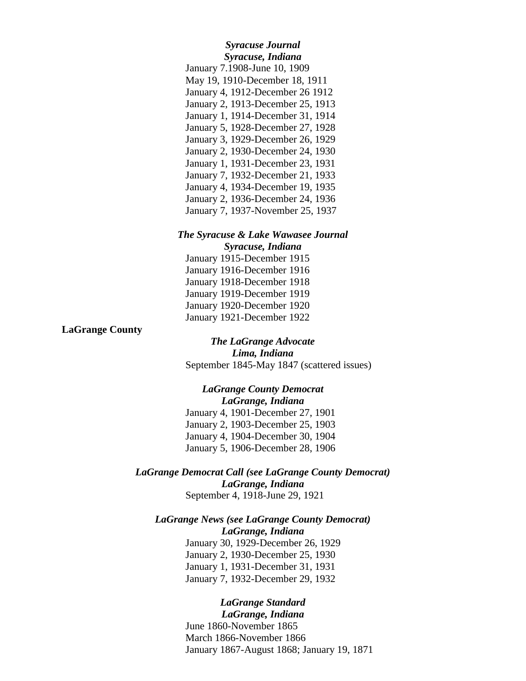# *Syracuse Journal Syracuse, Indiana*

January 7.1908-June 10, 1909 May 19, 1910-December 18, 1911 January 4, 1912-December 26 1912 January 2, 1913-December 25, 1913 January 1, 1914-December 31, 1914 January 5, 1928-December 27, 1928 January 3, 1929-December 26, 1929 January 2, 1930-December 24, 1930 January 1, 1931-December 23, 1931 January 7, 1932-December 21, 1933 January 4, 1934-December 19, 1935 January 2, 1936-December 24, 1936 January 7, 1937-November 25, 1937

# *The Syracuse & Lake Wawasee Journal*

*Syracuse, Indiana* January 1915-December 1915 January 1916-December 1916 January 1918-December 1918 January 1919-December 1919 January 1920-December 1920 January 1921-December 1922

**LaGrange County**

*The LaGrange Advocate Lima, Indiana* September 1845-May 1847 (scattered issues)

## *LaGrange County Democrat LaGrange, Indiana* January 4, 1901-December 27, 1901

January 2, 1903-December 25, 1903 January 4, 1904-December 30, 1904 January 5, 1906-December 28, 1906

## *LaGrange Democrat Call (see LaGrange County Democrat) LaGrange, Indiana* September 4, 1918-June 29, 1921

## *LaGrange News (see LaGrange County Democrat) LaGrange, Indiana*

January 30, 1929-December 26, 1929 January 2, 1930-December 25, 1930 January 1, 1931-December 31, 1931 January 7, 1932-December 29, 1932

# *LaGrange Standard*

*LaGrange, Indiana* June 1860-November 1865 March 1866-November 1866 January 1867-August 1868; January 19, 1871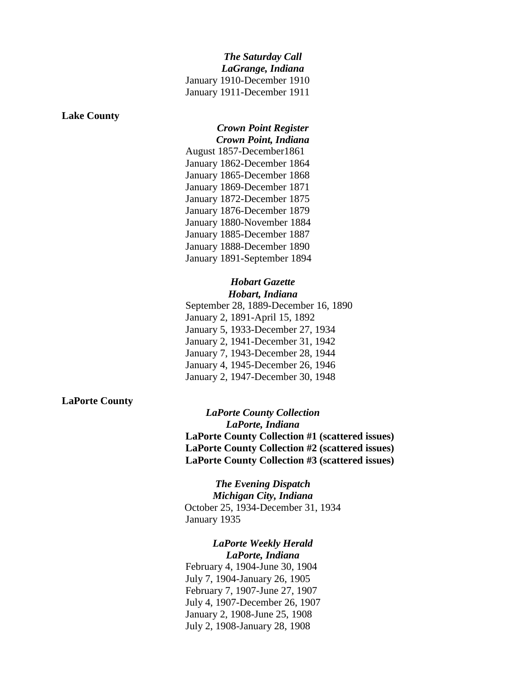#### **Lake County**

## *Crown Point Register Crown Point, Indiana*

August 1857-December1861 January 1862-December 1864 January 1865-December 1868 January 1869-December 1871 January 1872-December 1875 January 1876-December 1879 January 1880-November 1884 January 1885-December 1887 January 1888-December 1890 January 1891-September 1894

### *Hobart Gazette Hobart, Indiana*

September 28, 1889-December 16, 1890 January 2, 1891-April 15, 1892 January 5, 1933-December 27, 1934 January 2, 1941-December 31, 1942 January 7, 1943-December 28, 1944 January 4, 1945-December 26, 1946 January 2, 1947-December 30, 1948

### **LaPorte County**

*LaPorte County Collection LaPorte, Indiana* **LaPorte County Collection #1 (scattered issues) LaPorte County Collection #2 (scattered issues) LaPorte County Collection #3 (scattered issues)**

*The Evening Dispatch Michigan City, Indiana* October 25, 1934-December 31, 1934 January 1935

### *LaPorte Weekly Herald LaPorte, Indiana*

February 4, 1904-June 30, 1904 July 7, 1904-January 26, 1905 February 7, 1907-June 27, 1907 July 4, 1907-December 26, 1907 January 2, 1908-June 25, 1908 July 2, 1908-January 28, 1908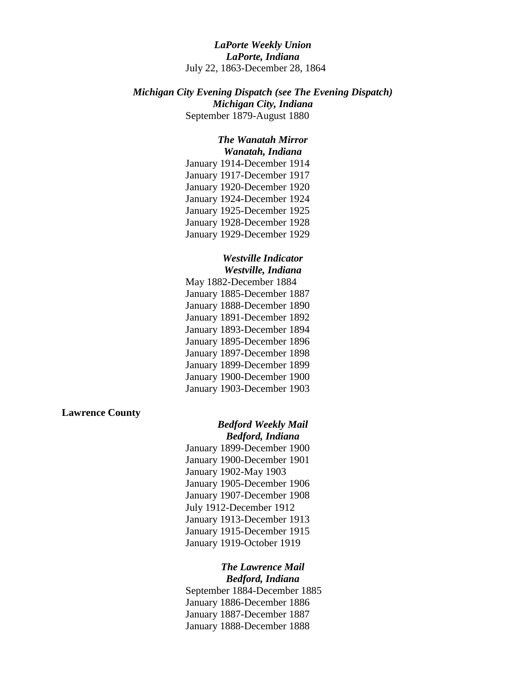*LaPorte Weekly Union LaPorte, Indiana* July 22, 1863-December 28, 1864

*Michigan City Evening Dispatch (see The Evening Dispatch) Michigan City, Indiana* September 1879-August 1880

## *The Wanatah Mirror Wanatah, Indiana*

January 1914-December 1914 January 1917-December 1917 January 1920-December 1920 January 1924-December 1924 January 1925-December 1925 January 1928-December 1928 January 1929-December 1929

### *Westville Indicator Westville, Indiana*

May 1882-December 1884 January 1885-December 1887 January 1888-December 1890 January 1891-December 1892 January 1893-December 1894 January 1895-December 1896 January 1897-December 1898 January 1899-December 1899 January 1900-December 1900 January 1903-December 1903

### **Lawrence County**

### *Bedford Weekly Mail Bedford, Indiana*

January 1899-December 1900 January 1900-December 1901 January 1902-May 1903 January 1905-December 1906 January 1907-December 1908 July 1912-December 1912 January 1913-December 1913 January 1915-December 1915 January 1919-October 1919

# *The Lawrence Mail*

*Bedford, Indiana* September 1884-December 1885 January 1886-December 1886 January 1887-December 1887 January 1888-December 1888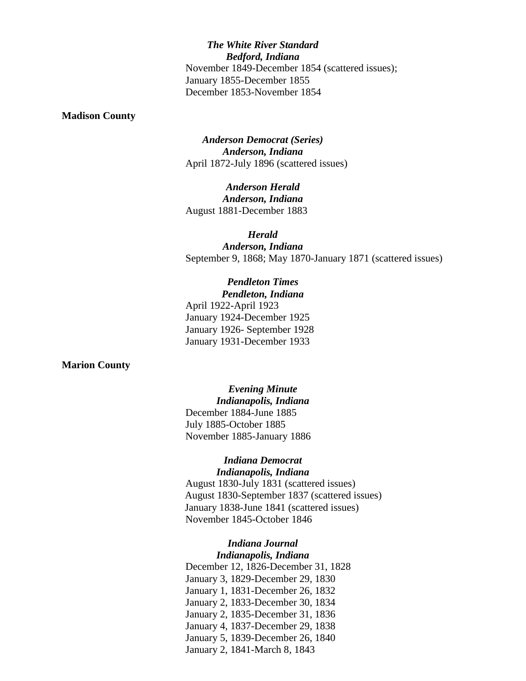*The White River Standard Bedford, Indiana* November 1849-December 1854 (scattered issues); January 1855-December 1855 December 1853-November 1854

#### **Madison County**

*Anderson Democrat (Series) Anderson, Indiana* April 1872-July 1896 (scattered issues)

*Anderson Herald Anderson, Indiana* August 1881-December 1883

*Herald Anderson, Indiana* September 9, 1868; May 1870-January 1871 (scattered issues)

# *Pendleton Times*

*Pendleton, Indiana* April 1922-April 1923 January 1924-December 1925 January 1926- September 1928 January 1931-December 1933

#### **Marion County**

*Evening Minute Indianapolis, Indiana* December 1884-June 1885 July 1885-October 1885 November 1885-January 1886

## *Indiana Democrat Indianapolis, Indiana*

August 1830-July 1831 (scattered issues) August 1830-September 1837 (scattered issues) January 1838-June 1841 (scattered issues) November 1845-October 1846

### *Indiana Journal Indianapolis, Indiana*

December 12, 1826-December 31, 1828 January 3, 1829-December 29, 1830 January 1, 1831-December 26, 1832 January 2, 1833-December 30, 1834 January 2, 1835-December 31, 1836 January 4, 1837-December 29, 1838 January 5, 1839-December 26, 1840 January 2, 1841-March 8, 1843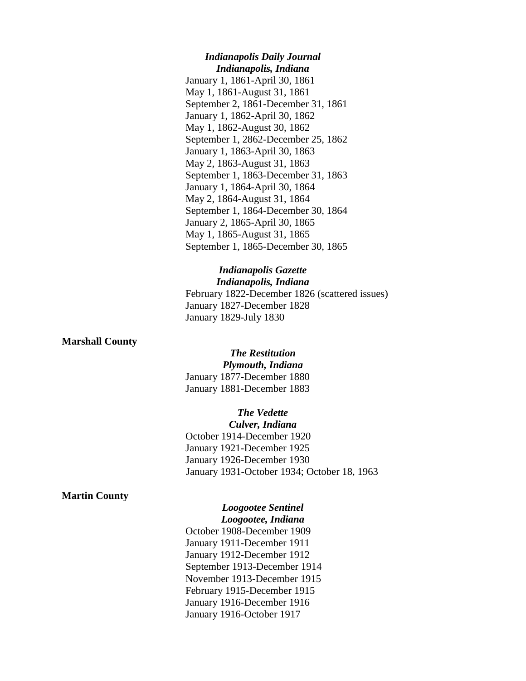## *Indianapolis Daily Journal Indianapolis, Indiana*

January 1, 1861-April 30, 1861 May 1, 1861-August 31, 1861 September 2, 1861-December 31, 1861 January 1, 1862-April 30, 1862 May 1, 1862-August 30, 1862 September 1, 2862-December 25, 1862 January 1, 1863-April 30, 1863 May 2, 1863-August 31, 1863 September 1, 1863-December 31, 1863 January 1, 1864-April 30, 1864 May 2, 1864-August 31, 1864 September 1, 1864-December 30, 1864 January 2, 1865-April 30, 1865 May 1, 1865-August 31, 1865 September 1, 1865-December 30, 1865

## *Indianapolis Gazette Indianapolis, Indiana*

February 1822-December 1826 (scattered issues) January 1827-December 1828 January 1829-July 1830

### **Marshall County**

## *The Restitution*

*Plymouth, Indiana* January 1877-December 1880 January 1881-December 1883

# *The Vedette*

*Culver, Indiana* October 1914-December 1920 January 1921-December 1925 January 1926-December 1930 January 1931-October 1934; October 18, 1963

## **Martin County**

# *Loogootee Sentinel*

*Loogootee, Indiana* October 1908-December 1909 January 1911-December 1911 January 1912-December 1912 September 1913-December 1914 November 1913-December 1915 February 1915-December 1915 January 1916-December 1916 January 1916-October 1917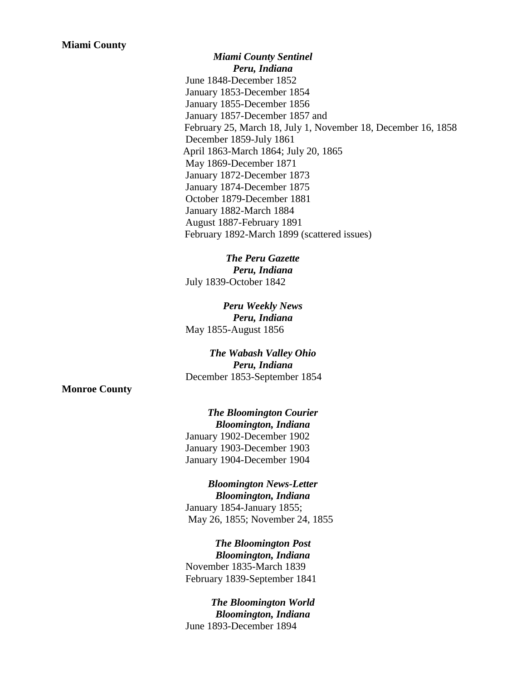*Miami County Sentinel Peru, Indiana* June 1848-December 1852 January 1853-December 1854 January 1855-December 1856 January 1857-December 1857 and February 25, March 18, July 1, November 18, December 16, 1858 December 1859-July 1861 April 1863-March 1864; July 20, 1865 May 1869-December 1871 January 1872-December 1873 January 1874-December 1875 October 1879-December 1881 January 1882-March 1884 August 1887-February 1891 February 1892-March 1899 (scattered issues)

*The Peru Gazette Peru, Indiana* July 1839-October 1842

*Peru Weekly News Peru, Indiana* May 1855-August 1856

*The Wabash Valley Ohio Peru, Indiana* December 1853-September 1854

**Monroe County**

*The Bloomington Courier Bloomington, Indiana* January 1902-December 1902 January 1903-December 1903 January 1904-December 1904

*Bloomington News-Letter Bloomington, Indiana* January 1854-January 1855; May 26, 1855; November 24, 1855

*The Bloomington Post Bloomington, Indiana* November 1835-March 1839 February 1839-September 1841

*The Bloomington World Bloomington, Indiana* June 1893-December 1894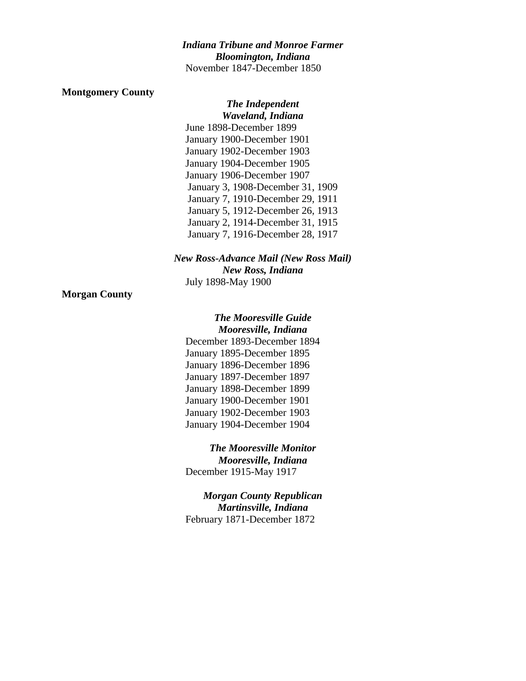## *Indiana Tribune and Monroe Farmer Bloomington, Indiana* November 1847-December 1850

### **Montgomery County**

*The Independent Waveland, Indiana* June 1898-December 1899 January 1900-December 1901 January 1902-December 1903 January 1904-December 1905 January 1906-December 1907 January 3, 1908-December 31, 1909 January 7, 1910-December 29, 1911 January 5, 1912-December 26, 1913 January 2, 1914-December 31, 1915 January 7, 1916-December 28, 1917

## *New Ross-Advance Mail (New Ross Mail) New Ross, Indiana* July 1898-May 1900

### **Morgan County**

*The Mooresville Guide Mooresville, Indiana* December 1893-December 1894

January 1895-December 1895 January 1896-December 1896 January 1897-December 1897 January 1898-December 1899 January 1900-December 1901 January 1902-December 1903 January 1904-December 1904

*The Mooresville Monitor Mooresville, Indiana* December 1915-May 1917

*Morgan County Republican Martinsville, Indiana* February 1871-December 1872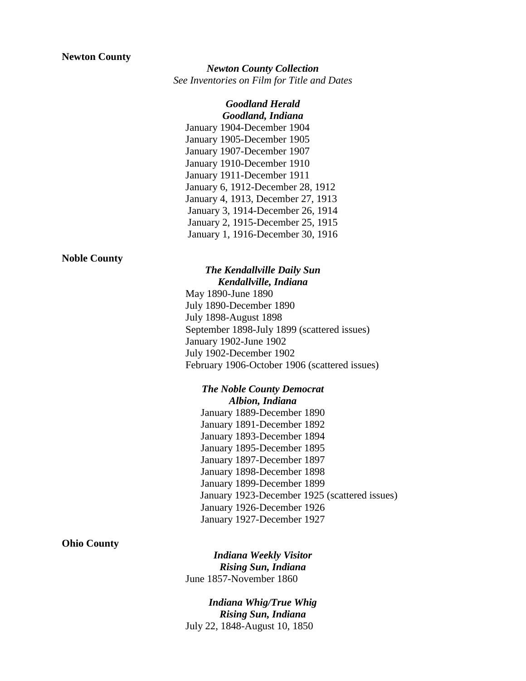## **Newton County**

## *Newton County Collection See Inventories on Film for Title and Dates*

### *Goodland Herald Goodland, Indiana*

January 1904-December 1904 January 1905-December 1905 January 1907-December 1907 January 1910-December 1910 January 1911-December 1911 January 6, 1912-December 28, 1912 January 4, 1913, December 27, 1913 January 3, 1914-December 26, 1914 January 2, 1915-December 25, 1915 January 1, 1916-December 30, 1916

### **Noble County**

### *The Kendallville Daily Sun Kendallville, Indiana*

May 1890-June 1890 July 1890-December 1890 July 1898-August 1898 September 1898-July 1899 (scattered issues) January 1902-June 1902 July 1902-December 1902 February 1906-October 1906 (scattered issues)

## *The Noble County Democrat Albion, Indiana*

January 1889-December 1890 January 1891-December 1892 January 1893-December 1894 January 1895-December 1895 January 1897-December 1897 January 1898-December 1898 January 1899-December 1899 January 1923-December 1925 (scattered issues) January 1926-December 1926 January 1927-December 1927

### **Ohio County**

*Indiana Weekly Visitor Rising Sun, Indiana* June 1857-November 1860

*Indiana Whig/True Whig Rising Sun, Indiana* July 22, 1848-August 10, 1850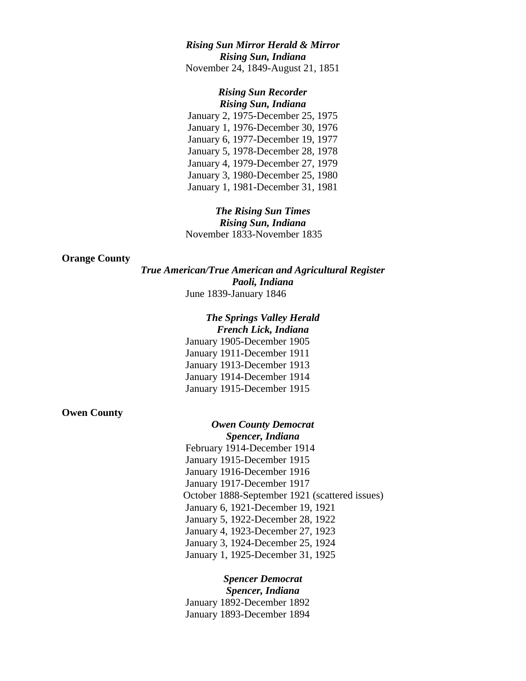## *Rising Sun Mirror Herald & Mirror Rising Sun, Indiana* November 24, 1849-August 21, 1851

# *Rising Sun Recorder*

*Rising Sun, Indiana* January 2, 1975-December 25, 1975 January 1, 1976-December 30, 1976 January 6, 1977-December 19, 1977 January 5, 1978-December 28, 1978 January 4, 1979-December 27, 1979 January 3, 1980-December 25, 1980 January 1, 1981-December 31, 1981

*The Rising Sun Times Rising Sun, Indiana* November 1833-November 1835

### **Orange County**

*True American/True American and Agricultural Register Paoli, Indiana* June 1839-January 1846

## *The Springs Valley Herald*

*French Lick, Indiana* January 1905-December 1905 January 1911-December 1911 January 1913-December 1913 January 1914-December 1914 January 1915-December 1915

## **Owen County**

# *Owen County Democrat*

*Spencer, Indiana* February 1914-December 1914 January 1915-December 1915 January 1916-December 1916 January 1917-December 1917 October 1888-September 1921 (scattered issues) January 6, 1921-December 19, 1921 January 5, 1922-December 28, 1922 January 4, 1923-December 27, 1923 January 3, 1924-December 25, 1924 January 1, 1925-December 31, 1925

*Spencer Democrat Spencer, Indiana* January 1892-December 1892 January 1893-December 1894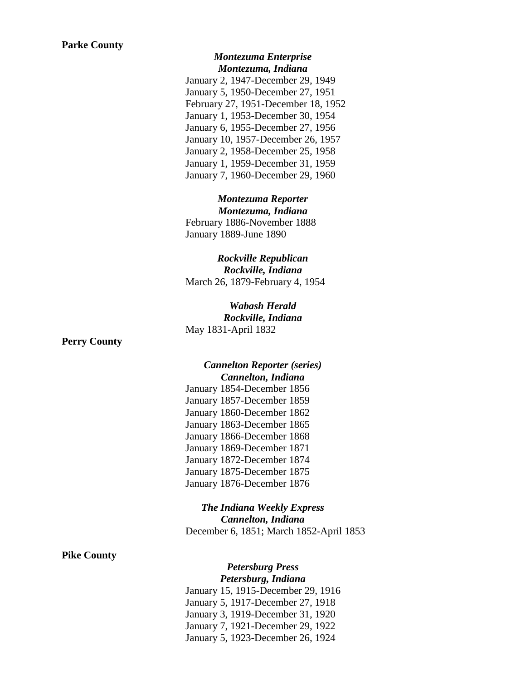## *Montezuma Enterprise Montezuma, Indiana*

January 2, 1947-December 29, 1949 January 5, 1950-December 27, 1951 February 27, 1951-December 18, 1952 January 1, 1953-December 30, 1954 January 6, 1955-December 27, 1956 January 10, 1957-December 26, 1957 January 2, 1958-December 25, 1958 January 1, 1959-December 31, 1959 January 7, 1960-December 29, 1960

*Montezuma Reporter Montezuma, Indiana* February 1886-November 1888 January 1889-June 1890

*Rockville Republican Rockville, Indiana* March 26, 1879-February 4, 1954

*Wabash Herald Rockville, Indiana* May 1831-April 1832

**Perry County**

## *Cannelton Reporter (series) Cannelton, Indiana* January 1854-December 1856

January 1857-December 1859 January 1860-December 1862 January 1863-December 1865 January 1866-December 1868 January 1869-December 1871 January 1872-December 1874 January 1875-December 1875 January 1876-December 1876

*The Indiana Weekly Express Cannelton, Indiana* December 6, 1851; March 1852-April 1853

## **Pike County**

# *Petersburg Press*

*Petersburg, Indiana*

January 15, 1915-December 29, 1916 January 5, 1917-December 27, 1918 January 3, 1919-December 31, 1920 January 7, 1921-December 29, 1922 January 5, 1923-December 26, 1924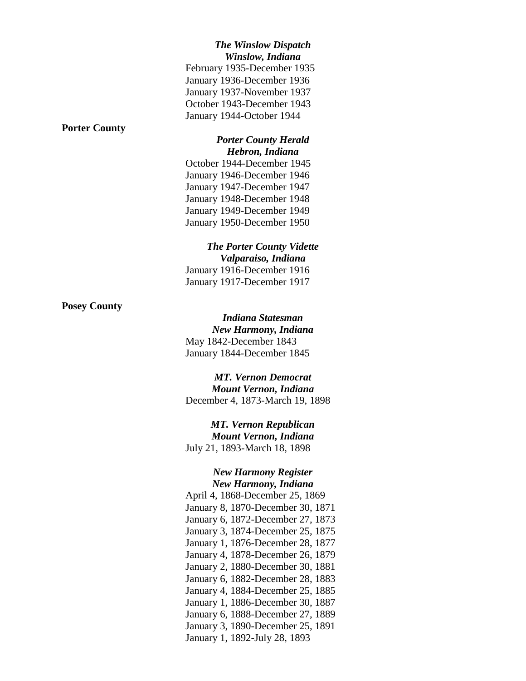## *The Winslow Dispatch Winslow, Indiana*

February 1935-December 1935 January 1936-December 1936 January 1937-November 1937 October 1943-December 1943 January 1944-October 1944

## **Porter County**

### *Porter County Herald Hebron, Indiana*

October 1944-December 1945 January 1946-December 1946 January 1947-December 1947 January 1948-December 1948 January 1949-December 1949 January 1950-December 1950

## *The Porter County Vidette Valparaiso, Indiana* January 1916-December 1916 January 1917-December 1917

**Posey County**

## *Indiana Statesman New Harmony, Indiana* May 1842-December 1843 January 1844-December 1845

*MT. Vernon Democrat Mount Vernon, Indiana* December 4, 1873-March 19, 1898

*MT. Vernon Republican Mount Vernon, Indiana* July 21, 1893-March 18, 1898

## *New Harmony Register New Harmony, Indiana*

April 4, 1868-December 25, 1869 January 8, 1870-December 30, 1871 January 6, 1872-December 27, 1873 January 3, 1874-December 25, 1875 January 1, 1876-December 28, 1877 January 4, 1878-December 26, 1879 January 2, 1880-December 30, 1881 January 6, 1882-December 28, 1883 January 4, 1884-December 25, 1885 January 1, 1886-December 30, 1887 January 6, 1888-December 27, 1889 January 3, 1890-December 25, 1891 January 1, 1892-July 28, 1893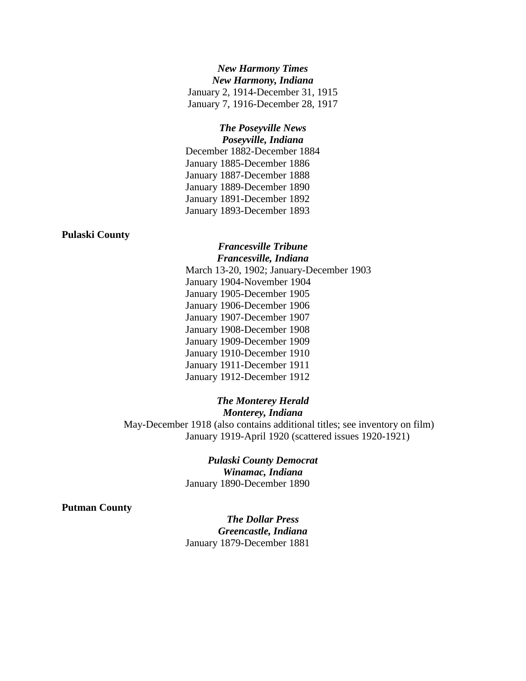## *New Harmony Times New Harmony, Indiana* January 2, 1914-December 31, 1915 January 7, 1916-December 28, 1917

## *The Poseyville News Poseyville, Indiana*

December 1882-December 1884 January 1885-December 1886 January 1887-December 1888 January 1889-December 1890 January 1891-December 1892 January 1893-December 1893

## **Pulaski County**

## *Francesville Tribune Francesville, Indiana*

March 13-20, 1902; January-December 1903 January 1904-November 1904 January 1905-December 1905 January 1906-December 1906 January 1907-December 1907 January 1908-December 1908 January 1909-December 1909 January 1910-December 1910 January 1911-December 1911 January 1912-December 1912

## *The Monterey Herald*

*Monterey, Indiana*

May-December 1918 (also contains additional titles; see inventory on film) January 1919-April 1920 (scattered issues 1920-1921)

# *Pulaski County Democrat*

*Winamac, Indiana* January 1890-December 1890

## **Putman County**

*The Dollar Press Greencastle, Indiana* January 1879-December 1881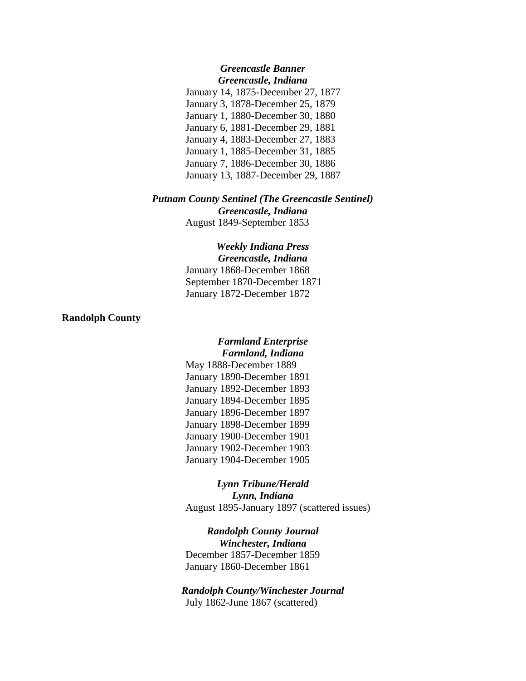### *Greencastle Banner Greencastle, Indiana*

January 14, 1875-December 27, 1877 January 3, 1878-December 25, 1879 January 1, 1880-December 30, 1880 January 6, 1881-December 29, 1881 January 4, 1883-December 27, 1883 January 1, 1885-December 31, 1885 January 7, 1886-December 30, 1886 January 13, 1887-December 29, 1887

## *Putnam County Sentinel (The Greencastle Sentinel) Greencastle, Indiana*

August 1849-September 1853

#### *Weekly Indiana Press Greencastle, Indiana*

January 1868-December 1868 September 1870-December 1871 January 1872-December 1872

## **Randolph County**

## *Farmland Enterprise Farmland, Indiana*

May 1888-December 1889 January 1890-December 1891 January 1892-December 1893 January 1894-December 1895 January 1896-December 1897 January 1898-December 1899 January 1900-December 1901 January 1902-December 1903 January 1904-December 1905

*Lynn Tribune/Herald Lynn, Indiana* August 1895-January 1897 (scattered issues)

*Randolph County Journal Winchester, Indiana* December 1857-December 1859 January 1860-December 1861

*Randolph County/Winchester Journal* July 1862-June 1867 (scattered)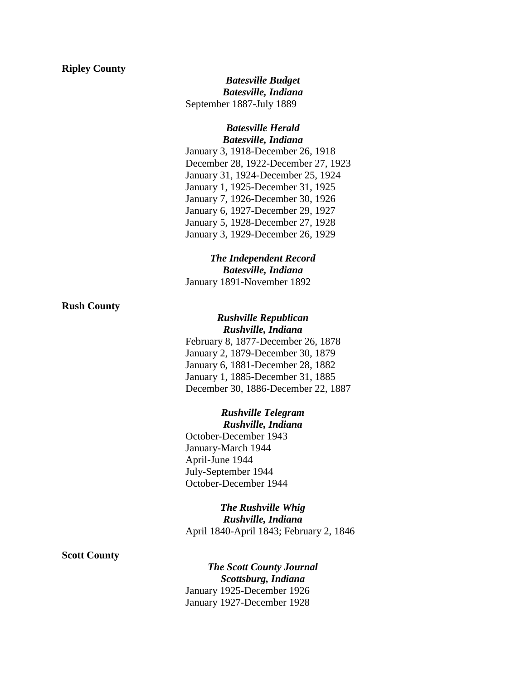### **Ripley County**

*Batesville Budget Batesville, Indiana* September 1887-July 1889

## *Batesville Herald Batesville, Indiana*

January 3, 1918-December 26, 1918 December 28, 1922-December 27, 1923 January 31, 1924-December 25, 1924 January 1, 1925-December 31, 1925 January 7, 1926-December 30, 1926 January 6, 1927-December 29, 1927 January 5, 1928-December 27, 1928 January 3, 1929-December 26, 1929

# *The Independent Record Batesville, Indiana*

January 1891-November 1892

## **Rush County**

### *Rushville Republican Rushville, Indiana*

February 8, 1877-December 26, 1878 January 2, 1879-December 30, 1879 January 6, 1881-December 28, 1882 January 1, 1885-December 31, 1885 December 30, 1886-December 22, 1887

# *Rushville Telegram*

*Rushville, Indiana* October-December 1943 January-March 1944 April-June 1944 July-September 1944 October-December 1944

# *The Rushville Whig Rushville, Indiana* April 1840-April 1843; February 2, 1846

## **Scott County**

*The Scott County Journal Scottsburg, Indiana* January 1925-December 1926 January 1927-December 1928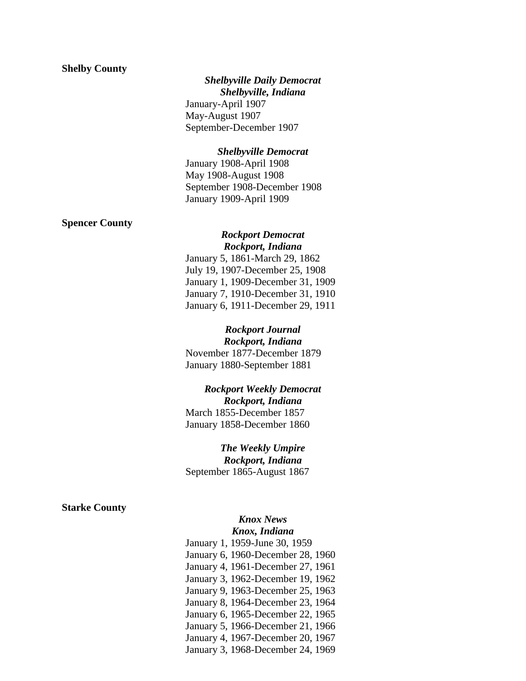### **Shelby County**

## *Shelbyville Daily Democrat*

*Shelbyville, Indiana* January-April 1907 May-August 1907 September-December 1907

### *Shelbyville Democrat*

January 1908-April 1908 May 1908-August 1908 September 1908-December 1908 January 1909-April 1909

## **Spencer County**

## *Rockport Democrat Rockport, Indiana*

January 5, 1861-March 29, 1862 July 19, 1907-December 25, 1908 January 1, 1909-December 31, 1909 January 7, 1910-December 31, 1910 January 6, 1911-December 29, 1911

*Rockport Journal Rockport, Indiana* November 1877-December 1879 January 1880-September 1881

## *Rockport Weekly Democrat Rockport, Indiana*

March 1855-December 1857 January 1858-December 1860

*The Weekly Umpire*

*Rockport, Indiana* September 1865-August 1867

## **Starke County**

### *Knox News Knox, Indiana*

January 1, 1959-June 30, 1959 January 6, 1960-December 28, 1960 January 4, 1961-December 27, 1961 January 3, 1962-December 19, 1962 January 9, 1963-December 25, 1963 January 8, 1964-December 23, 1964 January 6, 1965-December 22, 1965 January 5, 1966-December 21, 1966 January 4, 1967-December 20, 1967 January 3, 1968-December 24, 1969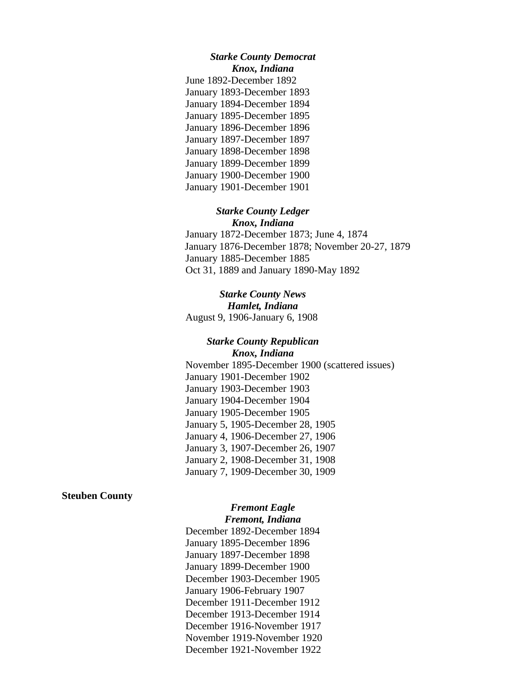### *Starke County Democrat Knox, Indiana*

June 1892-December 1892 January 1893-December 1893 January 1894-December 1894 January 1895-December 1895 January 1896-December 1896 January 1897-December 1897 January 1898-December 1898 January 1899-December 1899 January 1900-December 1900 January 1901-December 1901

## *Starke County Ledger Knox, Indiana*

January 1872-December 1873; June 4, 1874 January 1876-December 1878; November 20-27, 1879 January 1885-December 1885 Oct 31, 1889 and January 1890-May 1892

*Starke County News Hamlet, Indiana* August 9, 1906-January 6, 1908

# *Starke County Republican Knox, Indiana*

November 1895-December 1900 (scattered issues) January 1901-December 1902 January 1903-December 1903 January 1904-December 1904 January 1905-December 1905 January 5, 1905-December 28, 1905 January 4, 1906-December 27, 1906 January 3, 1907-December 26, 1907 January 2, 1908-December 31, 1908 January 7, 1909-December 30, 1909

## **Steuben County**

# *Fremont Eagle*

*Fremont, Indiana* December 1892-December 1894 January 1895-December 1896 January 1897-December 1898 January 1899-December 1900 December 1903-December 1905 January 1906-February 1907 December 1911-December 1912 December 1913-December 1914 December 1916-November 1917 November 1919-November 1920 December 1921-November 1922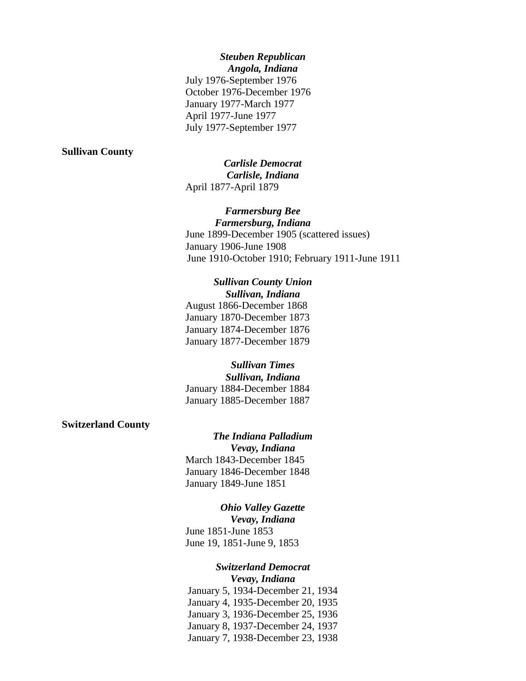## *Steuben Republican Angola, Indiana*

July 1976-September 1976 October 1976-December 1976 January 1977-March 1977 April 1977-June 1977 July 1977-September 1977

### **Sullivan County**

*Carlisle Democrat Carlisle, Indiana* April 1877-April 1879

## *Farmersburg Bee*

*Farmersburg, Indiana* June 1899-December 1905 (scattered issues) January 1906-June 1908 June 1910-October 1910; February 1911-June 1911

### *Sullivan County Union Sullivan, Indiana*

August 1866-December 1868 January 1870-December 1873 January 1874-December 1876 January 1877-December 1879

*Sullivan Times Sullivan, Indiana* January 1884-December 1884 January 1885-December 1887

## **Switzerland County**

*The Indiana Palladium Vevay, Indiana* March 1843-December 1845 January 1846-December 1848 January 1849-June 1851

## *Ohio Valley Gazette*

*Vevay, Indiana* June 1851-June 1853 June 19, 1851-June 9, 1853

# *Switzerland Democrat*

*Vevay, Indiana*

January 5, 1934-December 21, 1934 January 4, 1935-December 20, 1935 January 3, 1936-December 25, 1936 January 8, 1937-December 24, 1937 January 7, 1938-December 23, 1938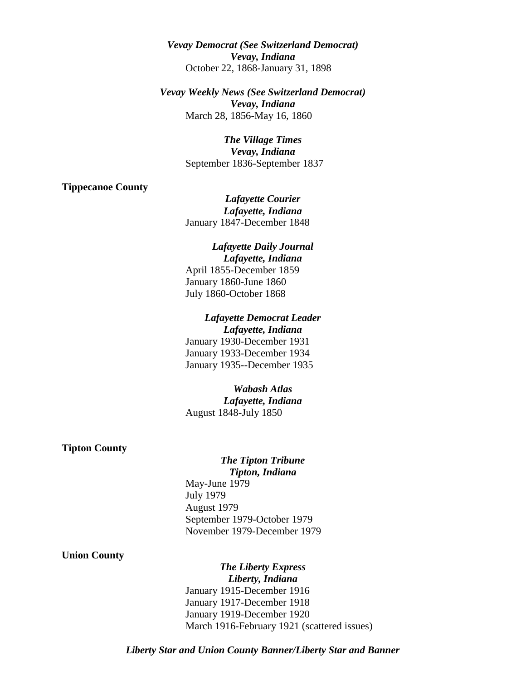*Vevay Democrat (See Switzerland Democrat) Vevay, Indiana* October 22, 1868-January 31, 1898

*Vevay Weekly News (See Switzerland Democrat) Vevay, Indiana* March 28, 1856-May 16, 1860

> *The Village Times Vevay, Indiana* September 1836-September 1837

#### **Tippecanoe County**

*Lafayette Courier Lafayette, Indiana* January 1847-December 1848

### *Lafayette Daily Journal Lafayette, Indiana*

April 1855-December 1859 January 1860-June 1860 July 1860-October 1868

## *Lafayette Democrat Leader*

*Lafayette, Indiana* January 1930-December 1931 January 1933-December 1934 January 1935--December 1935

*Wabash Atlas Lafayette, Indiana* August 1848-July 1850

### **Tipton County**

### *The Tipton Tribune Tipton, Indiana*

May-June 1979 July 1979 August 1979 September 1979-October 1979 November 1979-December 1979

## **Union County**

*The Liberty Express Liberty, Indiana* January 1915-December 1916 January 1917-December 1918 January 1919-December 1920 March 1916-February 1921 (scattered issues)

*Liberty Star and Union County Banner/Liberty Star and Banner*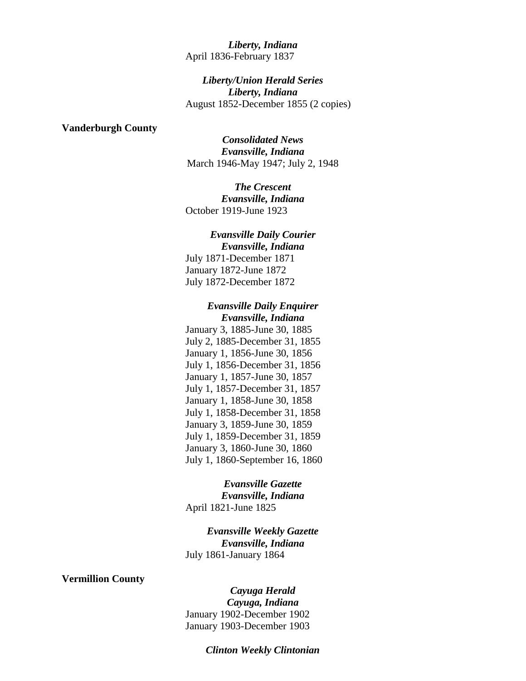## *Liberty, Indiana* April 1836-February 1837

*Liberty/Union Herald Series Liberty, Indiana* August 1852-December 1855 (2 copies)

### **Vanderburgh County**

*Consolidated News Evansville, Indiana* March 1946-May 1947; July 2, 1948

*The Crescent Evansville, Indiana* October 1919-June 1923

*Evansville Daily Courier Evansville, Indiana* July 1871-December 1871 January 1872-June 1872 July 1872-December 1872

## *Evansville Daily Enquirer Evansville, Indiana*

January 3, 1885-June 30, 1885 July 2, 1885-December 31, 1855 January 1, 1856-June 30, 1856 July 1, 1856-December 31, 1856 January 1, 1857-June 30, 1857 July 1, 1857-December 31, 1857 January 1, 1858-June 30, 1858 July 1, 1858-December 31, 1858 January 3, 1859-June 30, 1859 July 1, 1859-December 31, 1859 January 3, 1860-June 30, 1860 July 1, 1860-September 16, 1860

### *Evansville Gazette Evansville, Indiana*

April 1821-June 1825

*Evansville Weekly Gazette Evansville, Indiana* July 1861-January 1864

## **Vermillion County**

*Cayuga Herald Cayuga, Indiana* January 1902-December 1902 January 1903-December 1903

*Clinton Weekly Clintonian*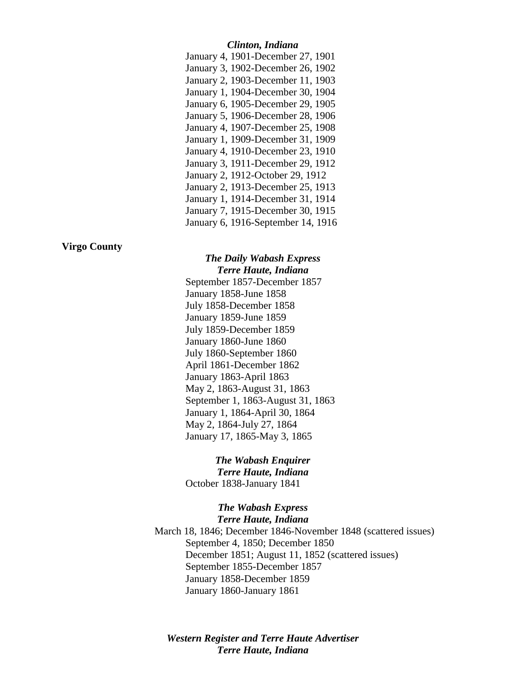## *Clinton, Indiana*

| January 4, 1901-December 27, 1901  |
|------------------------------------|
| January 3, 1902-December 26, 1902  |
| January 2, 1903-December 11, 1903  |
| January 1, 1904-December 30, 1904  |
| January 6, 1905-December 29, 1905  |
| January 5, 1906-December 28, 1906  |
| January 4, 1907-December 25, 1908  |
| January 1, 1909-December 31, 1909  |
| January 4, 1910-December 23, 1910  |
| January 3, 1911-December 29, 1912  |
| January 2, 1912-October 29, 1912   |
| January 2, 1913-December 25, 1913  |
| January 1, 1914-December 31, 1914  |
| January 7, 1915-December 30, 1915  |
| January 6, 1916-September 14, 1916 |

## **Virgo County**

### *The Daily Wabash Express Terre Haute, Indiana*

September 1857-December 1857 January 1858-June 1858 July 1858-December 1858 January 1859-June 1859 July 1859-December 1859 January 1860-June 1860 July 1860-September 1860 April 1861-December 1862 January 1863-April 1863 May 2, 1863-August 31, 1863 September 1, 1863-August 31, 1863 January 1, 1864-April 30, 1864 May 2, 1864-July 27, 1864 January 17, 1865-May 3, 1865

# *The Wabash Enquirer*

*Terre Haute, Indiana* October 1838-January 1841

## *The Wabash Express Terre Haute, Indiana*

March 18, 1846; December 1846-November 1848 (scattered issues) September 4, 1850; December 1850 December 1851; August 11, 1852 (scattered issues) September 1855-December 1857 January 1858-December 1859 January 1860-January 1861

## *Western Register and Terre Haute Advertiser Terre Haute, Indiana*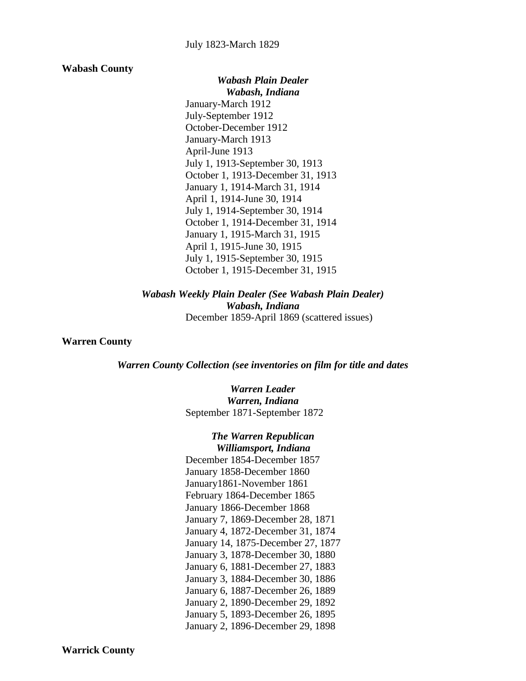#### **Wabash County**

*Wabash Plain Dealer Wabash, Indiana* January-March 1912 July-September 1912 October-December 1912 January-March 1913 April-June 1913 July 1, 1913-September 30, 1913 October 1, 1913-December 31, 1913 January 1, 1914-March 31, 1914 April 1, 1914-June 30, 1914 July 1, 1914-September 30, 1914 October 1, 1914-December 31, 1914 January 1, 1915-March 31, 1915 April 1, 1915-June 30, 1915 July 1, 1915-September 30, 1915 October 1, 1915-December 31, 1915

*Wabash Weekly Plain Dealer (See Wabash Plain Dealer) Wabash, Indiana* December 1859-April 1869 (scattered issues)

## **Warren County**

### *Warren County Collection (see inventories on film for title and dates*

*Warren Leader Warren, Indiana* September 1871-September 1872

*The Warren Republican Williamsport, Indiana* December 1854-December 1857 January 1858-December 1860 January1861-November 1861 February 1864-December 1865 January 1866-December 1868 January 7, 1869-December 28, 1871 January 4, 1872-December 31, 1874 January 14, 1875-December 27, 1877 January 3, 1878-December 30, 1880 January 6, 1881-December 27, 1883 January 3, 1884-December 30, 1886 January 6, 1887-December 26, 1889 January 2, 1890-December 29, 1892 January 5, 1893-December 26, 1895 January 2, 1896-December 29, 1898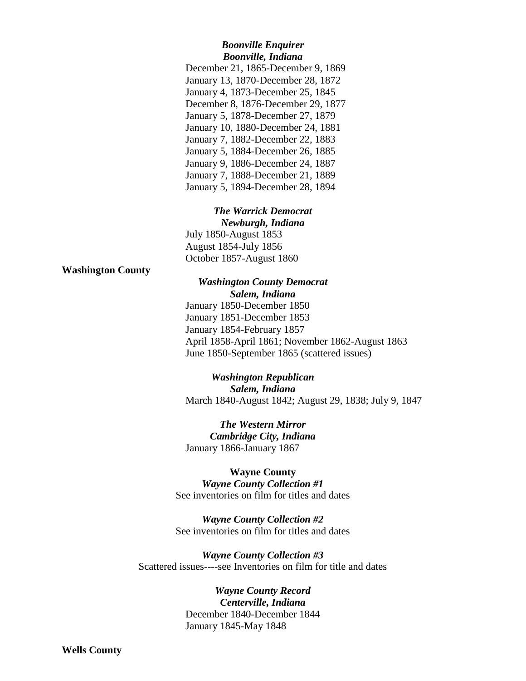### *Boonville Enquirer Boonville, Indiana*

December 21, 1865-December 9, 1869 January 13, 1870-December 28, 1872 January 4, 1873-December 25, 1845 December 8, 1876-December 29, 1877 January 5, 1878-December 27, 1879 January 10, 1880-December 24, 1881 January 7, 1882-December 22, 1883 January 5, 1884-December 26, 1885 January 9, 1886-December 24, 1887 January 7, 1888-December 21, 1889 January 5, 1894-December 28, 1894

*The Warrick Democrat Newburgh, Indiana* July 1850-August 1853 August 1854-July 1856 October 1857-August 1860

**Washington County**

*Washington County Democrat Salem, Indiana* January 1850-December 1850 January 1851-December 1853 January 1854-February 1857 April 1858-April 1861; November 1862-August 1863 June 1850-September 1865 (scattered issues)

*Washington Republican Salem, Indiana* March 1840-August 1842; August 29, 1838; July 9, 1847

*The Western Mirror Cambridge City, Indiana* January 1866-January 1867

## **Wayne County**

*Wayne County Collection #1* See inventories on film for titles and dates

*Wayne County Collection #2* See inventories on film for titles and dates

*Wayne County Collection #3* Scattered issues----see Inventories on film for title and dates

# *Wayne County Record*

*Centerville, Indiana* December 1840-December 1844 January 1845-May 1848

**Wells County**